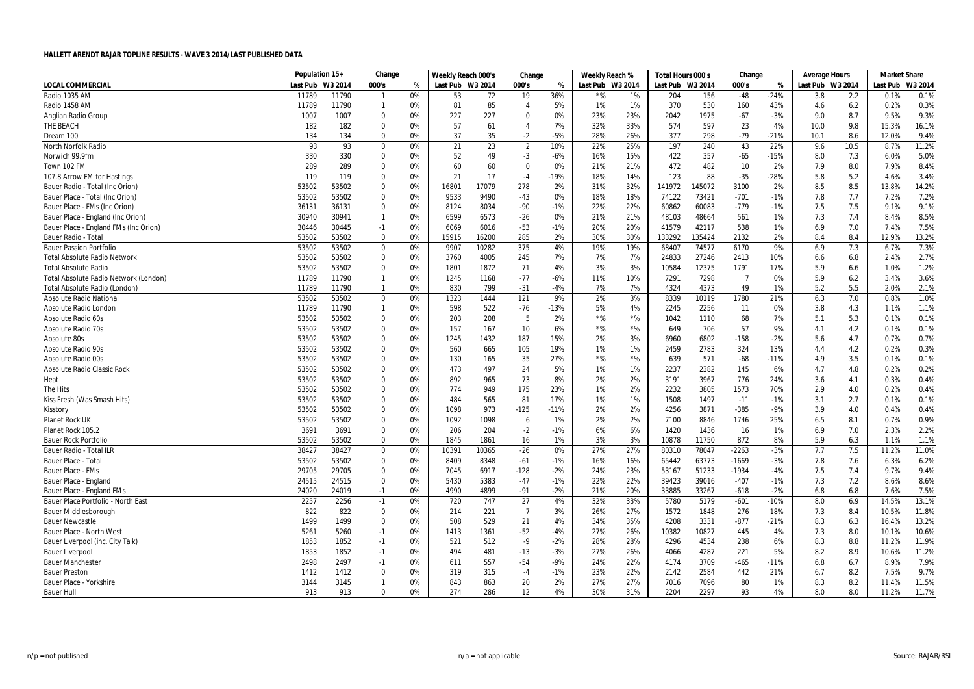|                                       | Population 15+ |         | Change       |    | Weekly Reach 000's |       | Change         |        | Weekly Reach % |                  | Total Hours 000's |        | Change         |        | Average Hours    |      | Market Share |         |
|---------------------------------------|----------------|---------|--------------|----|--------------------|-------|----------------|--------|----------------|------------------|-------------------|--------|----------------|--------|------------------|------|--------------|---------|
| <b>LOCAL COMMERCIAL</b>               | Last Pub       | W3 2014 | 000's        | %  | Last Pub W3 2014   |       | 000's          | %      |                | Last Pub W3 2014 | Last Pub W3 2014  |        | 000's          | %      | Last Pub W3 2014 |      | Last Pub     | W3 2014 |
| Radio 1035 AM                         | 11789          | 11790   | $\mathbf{1}$ | 0% | 53                 | 72    | 19             | 36%    |                | 1%               | 204               | 156    | $-48$          | $-24%$ | 3.8              | 2.2  | 0.1%         | 0.1%    |
| Radio 1458 AM                         | 11789          | 11790   | $\mathbf{1}$ | 0% | 81                 | 85    | 4              | 5%     | 1%             | 1%               | 370               | 530    | 160            | 43%    | 4.6              | 6.2  | 0.2%         | 0.3%    |
| Anglian Radio Group                   | 1007           | 1007    | 0            | 0% | 227                | 227   | $\mathbf 0$    | 0%     | 23%            | 23%              | 2042              | 1975   | $-67$          | $-3%$  | 9.0              | 8.7  | 9.5%         | 9.3%    |
| THE BEACH                             | 182            | 182     | 0            | 0% | 57                 | 61    | 4              | 7%     | 32%            | 33%              | 574               | 597    | 23             | 4%     | 10.0             | 9.8  | 15.3%        | 16.1%   |
| Dream 100                             | 134            | 134     | $\mathbf{0}$ | 0% | 37                 | 35    | $-2$           | $-5%$  | 28%            | 26%              | 377               | 298    | $-79$          | $-21%$ | 10.1             | 8.6  | 12.0%        | 9.4%    |
| North Norfolk Radio                   | 93             | 93      | 0            | 0% | 21                 | 23    | $\overline{2}$ | 10%    | 22%            | 25%              | 197               | 240    | 43             | 22%    | 9.6              | 10.5 | 8.7%         | 11.2%   |
| Norwich 99.9fm                        | 330            | 330     | $\Omega$     | 0% | 52                 | 49    | $-3$           | $-6%$  | 16%            | 15%              | 422               | 357    | $-65$          | $-15%$ | 8.0              | 7.3  | 6.0%         | 5.0%    |
| Town 102 FM                           | 289            | 289     | $\Omega$     | 0% | 60                 | 60    | $\pmb{0}$      | 0%     | 21%            | 21%              | 472               | 482    | 10             | 2%     | 7.9              | 8.0  | 7.9%         | 8.4%    |
| 107.8 Arrow FM for Hastings           | 119            | 119     | $\mathbf 0$  | 0% | 21                 | 17    | $-4$           | $-19%$ | 18%            | 14%              | 123               | 88     | $-35$          | $-28%$ | 5.8              | 5.2  | 4.6%         | 3.4%    |
| Bauer Radio - Total (Inc Orion)       | 53502          | 53502   | $\mathbf 0$  | 0% | 16801              | 17079 | 278            | 2%     | 31%            | 32%              | 141972            | 145072 | 3100           | 2%     | 8.5              | 8.5  | 13.8%        | 14.2%   |
| Bauer Place - Total (Inc Orion)       | 53502          | 53502   | 0            | 0% | 9533               | 9490  | $-43$          | 0%     | 18%            | 18%              | 74122             | 73421  | $-701$         | $-1%$  | 7.8              | 7.7  | 7.2%         | 7.2%    |
| Bauer Place - FMs (Inc Orion)         | 36131          | 36131   | $\mathbf 0$  | 0% | 8124               | 8034  | -90            | $-1%$  | 22%            | 22%              | 60862             | 60083  | $-779$         | $-1%$  | 7.5              | 7.5  | 9.1%         | 9.1%    |
| Bauer Place - England (Inc Orion      | 30940          | 30941   | $\mathbf{1}$ | 0% | 6599               | 6573  | $-26$          | 0%     | 21%            | 21%              | 48103             | 48664  | 561            | 1%     | 7.3              | 7.4  | 8.4%         | 8.5%    |
| Bauer Place - England FMs (Inc Orion) | 30446          | 30445   | $-1$         | 0% | 6069               | 6016  | $-53$          | $-1%$  | 20%            | 20%              | 41579             | 42117  | 538            | 1%     | 6.9              | 7.0  | 7.4%         | 7.5%    |
| Bauer Radio - Total                   | 53502          | 53502   | $\Omega$     | 0% | 15915              | 16200 | 285            | 2%     | 30%            | 30%              | 133292            | 135424 | 2132           | 2%     | 8.4              | 8.4  | 12.9%        | 13.2%   |
| <b>Bauer Passion Portfolio</b>        | 53502          | 53502   | $\Omega$     | 0% | 9907               | 10282 | 375            | 4%     | 19%            | 19%              | 68407             | 74577  | 6170           | 9%     | 6.9              | 7.3  | 6.7%         | 7.3%    |
| <b>Total Absolute Radio Network</b>   | 53502          | 53502   | 0            | 0% | 3760               | 4005  | 245            | 7%     | 7%             | 7%               | 24833             | 27246  | 2413           | 10%    | 6.6              | 6.8  | 2.4%         | 2.7%    |
| <b>Total Absolute Radio</b>           | 53502          | 53502   | 0            | 0% | 1801               | 1872  | 71             | 4%     | 3%             | 3%               | 10584             | 12375  | 1791           | 17%    | 5.9              | 6.6  | 1.0%         | 1.2%    |
| Total Absolute Radio Network (London) | 11789          | 11790   | $\mathbf{1}$ | 0% | 1245               | 1168  | $-77$          | $-6%$  | 11%            | 10%              | 7291              | 7298   | $\overline{7}$ | 0%     | 5.9              | 6.2  | 3.4%         | 3.6%    |
| Total Absolute Radio (London)         | 11789          | 11790   | -1           | 0% | 830                | 799   | $-31$          | -4%    | 7%             | 7%               | 4324              | 4373   | 49             | 1%     | 5.2              | 5.5  | 2.0%         | 2.1%    |
| <b>Absolute Radio National</b>        | 53502          | 53502   | $\mathbf 0$  | 0% | 1323               | 1444  | 121            | 9%     | 2%             | 3%               | 8339              | 10119  | 1780           | 21%    | 6.3              | 7.0  | 0.8%         | 1.0%    |
| Absolute Radio London                 | 11789          | 11790   | $\mathbf{1}$ | 0% | 598                | 522   | $-76$          | $-13%$ | 5%             | 4%               | 2245              | 2256   | 11             | 0%     | 3.8              | 4.3  | 1.1%         | 1.1%    |
| Absolute Radio 60s                    | 53502          | 53502   | $\mathbf 0$  | 0% | 203                | 208   | 5              | 2%     | $*$ %          | $*$ %            | 1042              | 1110   | 68             | 7%     | 5.1              | 5.3  | 0.1%         | 0.1%    |
| <b>Absolute Radio 70s</b>             | 53502          | 53502   | $\Omega$     | 0% | 157                | 167   | 10             | 6%     | $*$ %          | $*$ %            | 649               | 706    | 57             | 9%     | 4.1              | 4.2  | 0.1%         | 0.1%    |
| Absolute 80s                          | 53502          | 53502   | 0            | 0% | 1245               | 1432  | 187            | 15%    | 2%             | 3%               | 6960              | 6802   | $-158$         | $-2%$  | 5.6              | 4.7  | 0.7%         | 0.7%    |
| <b>Absolute Radio 90s</b>             | 53502          | 53502   | 0            | 0% | 560                | 665   | 105            | 19%    | 1%             | 1%               | 2459              | 2783   | 324            | 13%    | 4.4              | 4.2  | 0.2%         | 0.3%    |
| Absolute Radio 00s                    | 53502          | 53502   | $\mathbf 0$  | 0% | 130                | 165   | 35             | 27%    | $*$ %          | $*$ %            | 639               | 571    | $-68$          | $-11%$ | 4.9              | 3.5  | 0.1%         | 0.1%    |
| Absolute Radio Classic Rock           | 53502          | 53502   | $\mathbf 0$  | 0% | 473                | 497   | 24             | 5%     | 1%             | 1%               | 2237              | 2382   | 145            | 6%     | 4.7              | 4.8  | 0.2%         | 0.2%    |
| Heat                                  | 53502          | 53502   | $\mathbf 0$  | 0% | 892                | 965   | 73             | 8%     | 2%             | 2%               | 3191              | 3967   | 776            | 24%    | 3.6              | 4.1  | 0.3%         | 0.4%    |
| The Hits                              | 53502          | 53502   | 0            | 0% | 774                | 949   | 175            | 23%    | 1%             | 2%               | 2232              | 3805   | 1573           | 70%    | 2.9              | 4.0  | 0.2%         | 0.4%    |
| Kiss Fresh (Was Smash Hits)           | 53502          | 53502   | $\Omega$     | 0% | 484                | 565   | 81             | 17%    | 1%             | 1%               | 1508              | 1497   | $-11$          | $-1%$  | 3.1              | 2.7  | 0.1%         | 0.1%    |
| Kisstory                              | 53502          | 53502   | 0            | 0% | 1098               | 973   | $-125$         | $-11%$ | 2%             | 2%               | 4256              | 3871   | $-385$         | -9%    | 3.9              | 4.0  | 0.4%         | 0.4%    |
| <b>Planet Rock UK</b>                 | 53502          | 53502   | 0            | 0% | 1092               | 1098  | 6              | 1%     | 2%             | 2%               | 7100              | 8846   | 1746           | 25%    | 6.5              | 8.1  | 0.7%         | 0.9%    |
| Planet Rock 105.2                     | 3691           | 3691    | 0            | 0% | 206                | 204   | $-2$           | $-1%$  | 6%             | 6%               | 1420              | 1436   | 16             | 1%     | 6.9              | 7.0  | 2.3%         | 2.2%    |
| <b>Bauer Rock Portfolio</b>           | 53502          | 53502   | $\mathbf 0$  | 0% | 1845               | 1861  | 16             | 1%     | 3%             | 3%               | 10878             | 11750  | 872            | 8%     | 5.9              | 6.3  | 1.1%         | 1.1%    |
| <b>Bauer Radio - Total ILR</b>        | 38427          | 38427   | 0            | 0% | 10391              | 10365 | $-26$          | 0%     | 27%            | 27%              | 80310             | 78047  | $-2263$        | $-3%$  | 7.7              | 7.5  | 11.2%        | 11.0%   |
| Bauer Place - Total                   | 53502          | 53502   | 0            | 0% | 8409               | 8348  | -61            | $-1%$  | 16%            | 16%              | 65442             | 63773  | $-1669$        | -3%    | 7.8              | 7.6  | 6.3%         | 6.2%    |
| <b>Bauer Place - FMs</b>              | 29705          | 29705   | $\Omega$     | 0% | 7045               | 6917  | $-128$         | $-2%$  | 24%            | 23%              | 53167             | 51233  | $-1934$        | $-4%$  | 7.5              | 7.4  | 9.7%         | 9.4%    |
| Bauer Place - England                 | 24515          | 24515   | $\mathbf 0$  | 0% | 5430               | 5383  | $-47$          | $-1%$  | 22%            | 22%              | 39423             | 39016  | $-407$         | $-1%$  | 7.3              | 7.2  | 8.6%         | 8.6%    |
| Bauer Place - England FMs             | 24020          | 24019   | $-1$         | 0% | 4990               | 4899  | $-91$          | $-2%$  | 21%            | 20%              | 33885             | 33267  | $-618$         | $-2%$  | 6.8              | 6.8  | 7.6%         | 7.5%    |
| Bauer Place Portfolio - North East    | 2257           | 2256    | $-1$         | 0% | 720                | 747   | 27             | 4%     | 32%            | 33%              | 5780              | 5179   | $-601$         | $-10%$ | 8.0              | 6.9  | 14.5%        | 13.1%   |
| <b>Bauer Middlesborough</b>           | 822            | 822     | 0            | 0% | 214                | 221   | $\overline{7}$ | 3%     | 26%            | 27%              | 1572              | 1848   | 276            | 18%    | 7.3              | 8.4  | 10.5%        | 11.8%   |
| <b>Bauer Newcastle</b>                | 1499           | 1499    | $\mathbf 0$  | 0% | 508                | 529   | 21             | 4%     | 34%            | 35%              | 4208              | 3331   | $-877$         | $-21%$ | 8.3              | 6.3  | 16.4%        | 13.2%   |
| <b>Bauer Place - North West</b>       | 5261           | 5260    | $-1$         | 0% | 1413               | 1361  | $-52$          | -4%    | 27%            | 26%              | 10382             | 10827  | 445            | 4%     | 7.3              | 8.0  | 10.1%        | 10.6%   |
| Bauer Liverpool (inc. City Talk)      | 1853           | 1852    | $-1$         | 0% | 521                | 512   | $-9$           | $-2%$  | 28%            | 28%              | 4296              | 4534   | 238            | 6%     | 8.3              | 8.8  | 11.2%        | 11.9%   |
| <b>Bauer Liverpool</b>                | 1853           | 1852    | $-1$         | 0% | 494                | 481   | $-13$          | $-3%$  | 27%            | 26%              | 4066              | 4287   | 221            | 5%     | 8.2              | 8.9  | 10.6%        | 11.2%   |
| <b>Bauer Manchester</b>               | 2498           | 2497    | $-1$         | 0% | 611                | 557   | $-54$          | $-9%$  | 24%            | 22%              | 4174              | 3709   | $-465$         | $-11%$ | 6.8              | 6.7  | 8.9%         | 7.9%    |
| <b>Bauer Preston</b>                  | 1412           | 1412    | $\mathbf 0$  | 0% | 319                | 315   | $-4$           | $-1%$  | 23%            | 22%              | 2142              | 2584   | 442            | 21%    | 6.7              | 8.2  | 7.5%         | 9.7%    |
| Bauer Place - Yorkshire               | 3144           | 3145    | $\mathbf{1}$ | 0% | 843                | 863   | 20             | 2%     | 27%            | 27%              | 7016              | 7096   | 80             | 1%     | 8.3              | 8.2  | 11.4%        | 11.5%   |
| <b>Bauer Hull</b>                     | 913            | 913     | $\mathbf{0}$ | 0% | 274                | 286   | 12             | 4%     | 30%            | 31%              | 2204              | 2297   | 93             | 4%     | 8.0              | 8.0  | 11.2%        | 11.7%   |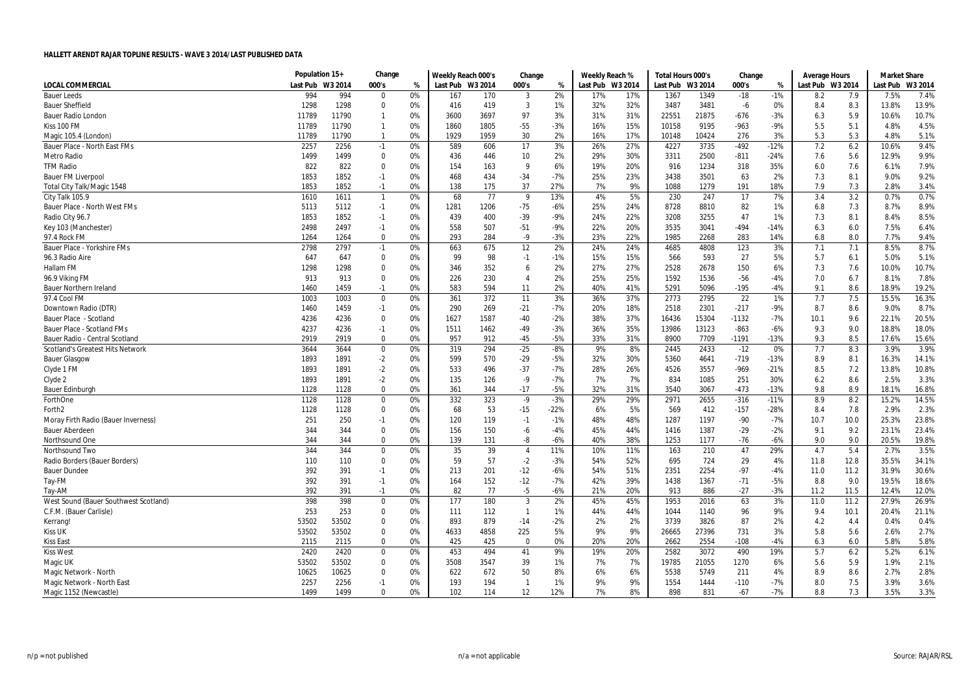|                                         | Population 15+   |       | Change         |    | Weekly Reach 000's |      | Change         |        | Weekly Reach %   |     | Total Hours 000's |         | Change  |        | Average Hours    |      | <b>Market Share</b> |         |
|-----------------------------------------|------------------|-------|----------------|----|--------------------|------|----------------|--------|------------------|-----|-------------------|---------|---------|--------|------------------|------|---------------------|---------|
| <b>LOCAL COMMERCIAL</b>                 | Last Pub W3 2014 |       | 000's          | %  | Last Pub W3 2014   |      | 000's          | %      | Last Pub W3 2014 |     | Last Pub          | W3 2014 | 000's   | %      | Last Pub W3 2014 |      | Last Pub            | W3 2014 |
| <b>Bauer Leeds</b>                      | 994              | 994   | 0              | 0% | 167                | 170  | 3              | 2%     | 17%              | 17% | 1367              | 1349    | $-18$   | $-1%$  | 8.2              | 7.9  | 7.5%                | 7.4%    |
| <b>Bauer Sheffield</b>                  | 1298             | 1298  | 0              | 0% | 416                | 419  | 3              | 1%     | 32%              | 32% | 3487              | 3481    | -6      | 0%     | 8.4              | 8.3  | 13.8%               | 13.9%   |
| <b>Bauer Radio London</b>               | 11789            | 11790 | $\mathbf{1}$   | 0% | 3600               | 3697 | 97             | 3%     | 31%              | 31% | 22551             | 21875   | $-676$  | $-3%$  | 6.3              | 5.9  | 10.6%               | 10.7%   |
| Kiss 100 FM                             | 11789            | 11790 | $\mathbf{1}$   | 0% | 1860               | 1805 | $-55$          | $-3%$  | 16%              | 15% | 10158             | 9195    | $-963$  | -9%    | 5.5              | 5.1  | 4.8%                | 4.5%    |
| Magic 105.4 (London)                    | 11789            | 11790 | $\mathbf{1}$   | 0% | 1929               | 1959 | 30             | 2%     | 16%              | 17% | 10148             | 10424   | 276     | 3%     | 5.3              | 5.3  | 4.8%                | 5.1%    |
| Bauer Place - North East FMs            | 2257             | 2256  | $-1$           | 0% | 589                | 606  | 17             | 3%     | 26%              | 27% | 4227              | 3735    | $-492$  | $-12%$ | 7.2              | 6.2  | 10.6%               | 9.4%    |
| <b>Metro Radio</b>                      | 1499             | 1499  | 0              | 0% | 436                | 446  | 10             | 2%     | 29%              | 30% | 3311              | 2500    | $-811$  | $-24%$ | 7.6              | 5.6  | 12.9%               | 9.9%    |
| <b>TFM Radio</b>                        | 822              | 822   | 0              | 0% | 154                | 163  | $\mathsf{q}$   | 6%     | 19%              | 20% | 916               | 1234    | 318     | 35%    | 6.0              | 7.6  | 6.1%                | 7.9%    |
| <b>Bauer FM Liverpool</b>               | 1853             | 1852  | $-1$           | 0% | 468                | 434  | $-34$          | $-7%$  | 25%              | 23% | 3438              | 3501    | 63      | 2%     | 7.3              | 8.1  | 9.0%                | 9.2%    |
| <b>Total City Talk/Magic 1548</b>       | 1853             | 1852  | $-1$           | 0% | 138                | 175  | 37             | 27%    | 7%               | 9%  | 1088              | 1279    | 191     | 18%    | 7.9              | 7.3  | 2.8%                | 3.4%    |
| City Talk 105.9                         | 1610             | 1611  | $\overline{1}$ | 0% | 68                 | 77   | 9              | 13%    | 4%               | 5%  | 230               | 247     | 17      | 7%     | 3.4              | 3.2  | 0.7%                | 0.7%    |
| Bauer Place - North West FMs            | 5113             | 5112  | $-1$           | 0% | 1281               | 1206 | $-75$          | $-6%$  | 25%              | 24% | 8728              | 8810    | 82      | 1%     | 6.8              | 7.3  | 8.7%                | 8.9%    |
| Radio City 96.7                         | 1853             | 1852  | $-1$           | 0% | 439                | 400  | $-39$          | $-9%$  | 24%              | 22% | 3208              | 3255    | 47      | 1%     | 7.3              | 8.1  | 8.4%                | 8.5%    |
| Key 103 (Manchester)                    | 2498             | 2497  | $-1$           | 0% | 558                | 507  | $-51$          | $-9%$  | 22%              | 20% | 3535              | 3041    | $-494$  | $-14%$ | 6.3              | 6.0  | 7.5%                | 6.4%    |
| 97.4 Rock FM                            | 1264             | 1264  | $\Omega$       | 0% | 293                | 284  | $-9$           | $-3%$  | 23%              | 22% | 1985              | 2268    | 283     | 14%    | 6.8              | 8.0  | 7.7%                | 9.4%    |
| Bauer Place - Yorkshire FMs             | 2798             | 2797  | $-1$           | 0% | 663                | 675  | 12             | 2%     | 24%              | 24% | 4685              | 4808    | 123     | 3%     | 7.1              | 7.1  | 8.5%                | 8.7%    |
| 96.3 Radio Aire                         | 647              | 647   | 0              | 0% | 99                 | 98   | $-1$           | $-1%$  | 15%              | 15% | 566               | 593     | 27      | 5%     | 5.7              | 6.1  | 5.0%                | 5.1%    |
| Hallam FM                               | 1298             | 1298  | $\pmb{0}$      | 0% | 346                | 352  | 6              | 2%     | 27%              | 27% | 2528              | 2678    | 150     | 6%     | 7.3              | 7.6  | 10.0%               | 10.7%   |
| 96.9 Viking FM                          | 913              | 913   | 0              | 0% | 226                | 230  | $\overline{4}$ | 2%     | 25%              | 25% | 1592              | 1536    | $-56$   | $-4%$  | 7.0              | 6.7  | 8.1%                | 7.8%    |
| <b>Bauer Northern Ireland</b>           | 1460             | 1459  | $-1$           | 0% | 583                | 594  | 11             | 2%     | 40%              | 41% | 5291              | 5096    | $-195$  | $-4%$  | 9.1              | 8.6  | 18.9%               | 19.2%   |
| 97.4 Cool FM                            | 1003             | 1003  | $\mathbf 0$    | 0% | 361                | 372  | 11             | 3%     | 36%              | 37% | 2773              | 2795    | 22      | 1%     | 7.7              | 7.5  | 15.5%               | 16.3%   |
| Downtown Radio (DTR)                    | 1460             | 1459  | $-1$           | 0% | 290                | 269  | $-21$          | $-7%$  | 20%              | 18% | 2518              | 2301    | $-217$  | $-9%$  | 8.7              | 8.6  | 9.0%                | 8.7%    |
| Bauer Place - Scotland                  | 4236             | 4236  | 0              | 0% | 1627               | 1587 | $-40$          | $-2%$  | 38%              | 37% | 16436             | 15304   | $-1132$ | $-7%$  | 10.1             | 9.6  | 22.1%               | 20.5%   |
| Bauer Place - Scotland FMs              | 4237             | 4236  | $-1$           | 0% | 1511               | 1462 | $-49$          | $-3%$  | 36%              | 35% | 13986             | 13123   | $-863$  | $-6%$  | 9.3              | 9.0  | 18.8%               | 18.0%   |
| Bauer Radio - Central Scotland          | 2919             | 2919  | $\Omega$       | 0% | 957                | 912  | $-45$          | $-5%$  | 33%              | 31% | 8900              | 7709    | $-1191$ | $-13%$ | 9.3              | 8.5  | 17.6%               | 15.6%   |
| <b>Scotland's Greatest Hits Network</b> | 3644             | 3644  | 0              | 0% | 319                | 294  | $-25$          | $-8%$  | 9%               | 8%  | 2445              | 2433    | $-12$   | 0%     | 7.7              | 8.3  | 3.9%                | 3.9%    |
| <b>Bauer Glasgow</b>                    | 1893             | 1891  | $-2$           | 0% | 599                | 570  | $-29$          | $-5%$  | 32%              | 30% | 5360              | 4641    | $-719$  | $-13%$ | 8.9              | 8.1  | 16.3%               | 14.1%   |
| Clyde 1 FM                              | 1893             | 1891  | $-2$           | 0% | 533                | 496  | $-37$          | $-7%$  | 28%              | 26% | 4526              | 3557    | $-969$  | $-21%$ | 8.5              | 7.2  | 13.8%               | 10.8%   |
| Clyde 2                                 | 1893             | 1891  | $-2$           | 0% | 135                | 126  | $-9$           | $-7%$  | 7%               | 7%  | 834               | 1085    | 251     | 30%    | 6.2              | 8.6  | 2.5%                | 3.3%    |
| <b>Bauer Edinburgh</b>                  | 1128             | 1128  | 0              | 0% | 361                | 344  | $-17$          | $-5%$  | 32%              | 31% | 3540              | 3067    | $-473$  | $-13%$ | 9.8              | 8.9  | 18.1%               | 16.8%   |
| ForthOne                                | 1128             | 1128  | $\mathbf 0$    | 0% | 332                | 323  | $-9$           | $-3%$  | 29%              | 29% | 2971              | 2655    | $-316$  | $-11%$ | 8.9              | 8.2  | 15.2%               | 14.5%   |
| Forth <sub>2</sub>                      | 1128             | 1128  | $\mathbf 0$    | 0% | 68                 | 53   | $-15$          | $-22%$ | 6%               | 5%  | 569               | 412     | $-157$  | $-28%$ | 8.4              | 7.8  | 2.9%                | 2.3%    |
| Moray Firth Radio (Bauer Inverness)     | 251              | 250   | $-1$           | 0% | 120                | 119  | $-1$           | $-1%$  | 48%              | 48% | 1287              | 1197    | $-90$   | $-7%$  | 10.7             | 10.0 | 25.3%               | 23.8%   |
| <b>Bauer Aberdeen</b>                   | 344              | 344   | 0              | 0% | 156                | 150  | -6             | $-4%$  | 45%              | 44% | 1416              | 1387    | $-29$   | $-2%$  | 9.1              | 9.2  | 23.1%               | 23.4%   |
| Northsound One                          | 344              | 344   | $\mathbf 0$    | 0% | 139                | 131  | -8             | $-6%$  | 40%              | 38% | 1253              | 1177    | $-76$   | $-6%$  | 9.0              | 9.0  | 20.5%               | 19.8%   |
| Northsound Two                          | 344              | 344   | 0              | 0% | 35                 | 39   | $\overline{4}$ | 11%    | 10%              | 11% | 163               | 210     | 47      | 29%    | 4.7              | 5.4  | 2.7%                | 3.5%    |
| Radio Borders (Bauer Borders)           | 110              | 110   | $\mathbf 0$    | 0% | 59                 | 57   | $-2$           | $-3%$  | 54%              | 52% | 695               | 724     | 29      | 4%     | 11.8             | 12.8 | 35.5%               | 34.1%   |
| <b>Bauer Dundee</b>                     | 392              | 391   | $-1$           | 0% | 213                | 201  | $-12$          | $-6%$  | 54%              | 51% | 2351              | 2254    | $-97$   | $-4%$  | 11.0             | 11.2 | 31.9%               | 30.6%   |
| Tay-FM                                  | 392              | 391   | $-1$           | 0% | 164                | 152  | $-12$          | $-7%$  | 42%              | 39% | 1438              | 1367    | $-71$   | $-5%$  | 8.8              | 9.0  | 19.5%               | 18.6%   |
| Tay-AM                                  | 392              | 391   | $-1$           | 0% | 82                 | 77   | $-5$           | $-6%$  | 21%              | 20% | 913               | 886     | $-27$   | $-3%$  | 11.2             | 11.5 | 12.4%               | 12.0%   |
| West Sound (Bauer Southwest Scotland)   | 398              | 398   | 0              | 0% | 177                | 180  | 3              | 2%     | 45%              | 45% | 1953              | 2016    | 63      | 3%     | 11.0             | 11.2 | 27.9%               | 26.9%   |
| C.F.M. (Bauer Carlisle)                 | 253              | 253   | 0              | 0% | 111                | 112  | $\mathbf{1}$   | 1%     | 44%              | 44% | 1044              | 1140    | 96      | 9%     | 9.4              | 10.1 | 20.4%               | 21.1%   |
| Kerrang!                                | 53502            | 53502 | $\mathbf 0$    | 0% | 893                | 879  | $-14$          | $-2%$  | 2%               | 2%  | 3739              | 3826    | 87      | 2%     | 4.2              | 4.4  | 0.4%                | 0.4%    |
| <b>Kiss UK</b>                          | 53502            | 53502 | 0              | 0% | 4633               | 4858 | 225            | 5%     | 9%               | 9%  | 26665             | 27396   | 731     | 3%     | 5.8              | 5.6  | 2.6%                | 2.7%    |
| <b>Kiss East</b>                        | 2115             | 2115  | $\Omega$       | 0% | 425                | 425  | $\Omega$       | 0%     | 20%              | 20% | 2662              | 2554    | $-108$  | $-4%$  | 6.3              | 6.0  | 5.8%                | 5.8%    |
| <b>Kiss West</b>                        | 2420             | 2420  | $\mathbf 0$    | 0% | 453                | 494  | 41             | 9%     | 19%              | 20% | 2582              | 3072    | 490     | 19%    | 5.7              | 6.2  | 5.2%                | 6.1%    |
| Magic UK                                | 53502            | 53502 | 0              | 0% | 3508               | 3547 | 39             | 1%     | 7%               | 7%  | 19785             | 21055   | 1270    | 6%     | 5.6              | 5.9  | 1.9%                | 2.1%    |
| Magic Network - North                   | 10625            | 10625 | 0              | 0% | 622                | 672  | 50             | 8%     | 6%               | 6%  | 5538              | 5749    | 211     | 4%     | 8.9              | 8.6  | 2.7%                | 2.8%    |
| Magic Network - North East              | 2257             | 2256  | $-1$           | 0% | 193                | 194  | $\mathbf{1}$   | 1%     | 9%               | 9%  | 1554              | 1444    | $-110$  | $-7%$  | 8.0              | 7.5  | 3.9%                | 3.6%    |
| Magic 1152 (Newcastle)                  | 1499             | 1499  | $\mathbf{0}$   | 0% | 102                | 114  | 12             | 12%    | 7%               | 8%  | 898               | 831     | $-67$   | $-7%$  | 8.8              | 7.3  | 3.5%                | 3.3%    |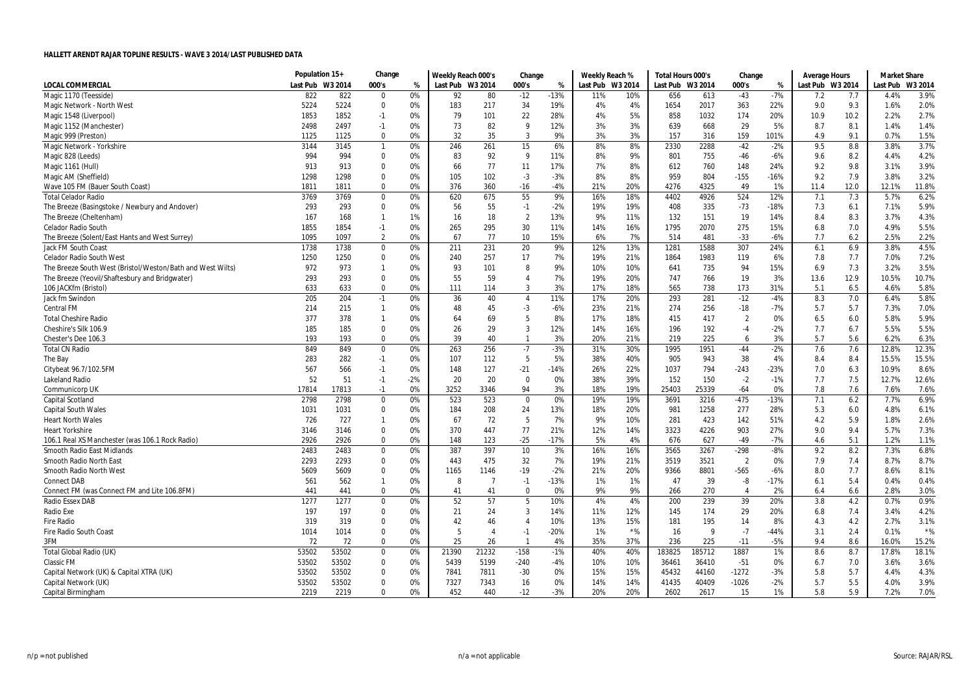|                                                            | Population 15+   |       | Change         |       | Weekly Reach 000's |                         | Change         |        | Weekly Reach %   |       | Total Hours 000's |        | Change         |        | Average Hours    |      | <b>Market Share</b> |         |
|------------------------------------------------------------|------------------|-------|----------------|-------|--------------------|-------------------------|----------------|--------|------------------|-------|-------------------|--------|----------------|--------|------------------|------|---------------------|---------|
| <b>LOCAL COMMERCIAL</b>                                    | Last Pub W3 2014 |       | 000's          | %     | Last Pub W3 2014   |                         | 000's          | %      | Last Pub W3 2014 |       | Last Pub W3 2014  |        | 000's          | %      | Last Pub W3 2014 |      | Last Pub            | W3 2014 |
| Magic 1170 (Teesside)                                      | 822              | 822   | $\Omega$       | 0%    | 92                 | 80                      | $-12$          | $-13%$ | 11%              | 10%   | 656               | 613    | $-43$          | $-7%$  | 7.2              | 7.7  | 4.4%                | 3.9%    |
| Magic Network - North West                                 | 5224             | 5224  | 0              | 0%    | 183                | 217                     | 34             | 19%    | 4%               | 4%    | 1654              | 2017   | 363            | 22%    | 9.0              | 9.3  | 1.6%                | 2.0%    |
| Magic 1548 (Liverpool)                                     | 1853             | 1852  | $-1$           | 0%    | 79                 | 101                     | 22             | 28%    | 4%               | 5%    | 858               | 1032   | 174            | 20%    | 10.9             | 10.2 | 2.2%                | 2.7%    |
| Magic 1152 (Manchester)                                    | 2498             | 2497  | $-1$           | 0%    | 73                 | 82                      | 9              | 12%    | 3%               | 3%    | 639               | 668    | 29             | 5%     | 8.7              | 8.1  | 1.4%                | 1.4%    |
| Magic 999 (Preston)                                        | 1125             | 1125  | $\mathbf 0$    | 0%    | 32                 | 35                      | 3              | 9%     | 3%               | 3%    | 157               | 316    | 159            | 101%   | 4.9              | 9.1  | 0.7%                | 1.5%    |
| Magic Network - Yorkshire                                  | 3144             | 3145  | $\mathbf{1}$   | 0%    | 246                | 261                     | 15             | 6%     | 8%               | 8%    | 2330              | 2288   | $-42$          | $-2%$  | 9.5              | 8.8  | 3.8%                | 3.7%    |
| Magic 828 (Leeds)                                          | 994              | 994   | 0              | 0%    | 83                 | 92                      | 9              | 11%    | 8%               | 9%    | 801               | 755    | $-46$          | $-6%$  | 9.6              | 8.2  | 4.4%                | 4.2%    |
| Magic 1161 (Hull)                                          | 913              | 913   | $\Omega$       | 0%    | 66                 | 77                      | 11             | 17%    | 7%               | 8%    | 612               | 760    | 148            | 24%    | 9.2              | 9.8  | 3.1%                | 3.9%    |
| Magic AM (Sheffield)                                       | 1298             | 1298  | 0              | 0%    | 105                | 102                     | $-3$           | $-3%$  | 8%               | 8%    | 959               | 804    | $-155$         | $-16%$ | 9.2              | 7.9  | 3.8%                | 3.2%    |
| Wave 105 FM (Bauer South Coast)                            | 1811             | 1811  | 0              | 0%    | 376                | 360                     | $-16$          | $-4%$  | 21%              | 20%   | 4276              | 4325   | 49             | 1%     | 11.4             | 12.0 | 12.1%               | 11.8%   |
| <b>Total Celador Radio</b>                                 | 3769             | 3769  | 0              | 0%    | 620                | 675                     | 55             | 9%     | 16%              | 18%   | 4402              | 4926   | 524            | 12%    | 7.1              | 7.3  | 5.7%                | 6.2%    |
| The Breeze (Basingstoke / Newbury and Andover)             | 293              | 293   | $\mathbf 0$    | 0%    | 56                 | 55                      | $-1$           | $-2%$  | 19%              | 19%   | 408               | 335    | $-73$          | $-18%$ | 7.3              | 6.1  | 7.1%                | 5.9%    |
| The Breeze (Cheltenham)                                    | 167              | 168   | $\mathbf{1}$   | 1%    | 16                 | 18                      | $\overline{2}$ | 13%    | 9%               | 11%   | 132               | 151    | 19             | 14%    | 8.4              | 8.3  | 3.7%                | 4.3%    |
| <b>Celador Radio South</b>                                 | 1855             | 1854  | $-1$           | 0%    | 265                | 295                     | 30             | 11%    | 14%              | 16%   | 1795              | 2070   | 275            | 15%    | 6.8              | 7.0  | 4.9%                | 5.5%    |
| The Breeze (Solent/East Hants and West Surrey)             | 1095             | 1097  | $\overline{2}$ | 0%    | 67                 | 77                      | 10             | 15%    | 6%               | 7%    | 514               | 481    | $-33$          | $-6%$  | 7.7              | 6.2  | 2.5%                | 2.2%    |
| Jack FM South Coast                                        | 1738             | 1738  | $\mathbf 0$    | 0%    | 211                | 231                     | 20             | 9%     | 12%              | 13%   | 1281              | 1588   | 307            | 24%    | 6.1              | 6.9  | 3.8%                | 4.5%    |
| <b>Celador Radio South West</b>                            | 1250             | 1250  | 0              | 0%    | 240                | 257                     | 17             | 7%     | 19%              | 21%   | 1864              | 1983   | 119            | 6%     | 7.8              | 7.7  | 7.0%                | 7.2%    |
| The Breeze South West (Bristol/Weston/Bath and West Wilts) | 972              | 973   | $\mathbf{1}$   | 0%    | 93                 | 101                     | 8              | 9%     | 10%              | 10%   | 641               | 735    | 94             | 15%    | 6.9              | 7.3  | 3.2%                | 3.5%    |
| The Breeze (Yeovil/Shaftesbury and Bridgwater)             | 293              | 293   | $\Omega$       | 0%    | 55                 | 59                      | $\overline{4}$ | 7%     | 19%              | 20%   | 747               | 766    | 19             | 3%     | 13.6             | 12.9 | 10.5%               | 10.7%   |
| 106 JACKfm (Bristol)                                       | 633              | 633   | 0              | 0%    | 111                | 114                     | 3              | 3%     | 17%              | 18%   | 565               | 738    | 173            | 31%    | 5.1              | 6.5  | 4.6%                | 5.8%    |
| Jack fm Swindon                                            | 205              | 204   | $-1$           | 0%    | 36                 | 40                      | $\overline{4}$ | 11%    | 17%              | 20%   | 293               | 281    | $-12$          | $-4%$  | 8.3              | 7.0  | 6.4%                | 5.8%    |
| <b>Central FM</b>                                          | 214              | 215   | $\mathbf{1}$   | 0%    | 48                 | 45                      | -3             | $-6%$  | 23%              | 21%   | 274               | 256    | $-18$          | $-7%$  | 5.7              | 5.7  | 7.3%                | 7.0%    |
| <b>Total Cheshire Radio</b>                                | 377              | 378   | $\mathbf{1}$   | 0%    | 64                 | 69                      | 5              | 8%     | 17%              | 18%   | 415               | 417    | $\overline{2}$ | 0%     | 6.5              | 6.0  | 5.8%                | 5.9%    |
| Cheshire's Silk 106.9                                      | 185              | 185   | $\Omega$       | 0%    | 26                 | 29                      | 3              | 12%    | 14%              | 16%   | 196               | 192    | $-4$           | $-2%$  | 7.7              | 6.7  | 5.5%                | 5.5%    |
| Chester's Dee 106.3                                        | 193              | 193   | 0              | 0%    | 39                 | 40                      | $\mathbf{1}$   | 3%     | 20%              | 21%   | 219               | 225    | 6              | 3%     | 5.7              | 5.6  | 6.2%                | 6.3%    |
| <b>Total CN Radio</b>                                      | 849              | 849   | 0              | 0%    | 263                | 256                     | $-7$           | $-3%$  | 31%              | 30%   | 1995              | 1951   | $-44$          | $-2%$  | 7.6              | 7.6  | 12.8%               | 12.3%   |
| The Bay                                                    | 283              | 282   | $-1$           | 0%    | 107                | 112                     | 5              | 5%     | 38%              | 40%   | 905               | 943    | 38             | 4%     | 8.4              | 8.4  | 15.5%               | 15.5%   |
| Citybeat 96.7/102.5FM                                      | 567              | 566   | $-1$           | 0%    | 148                | 127                     | $-21$          | $-14%$ | 26%              | 22%   | 1037              | 794    | $-243$         | $-23%$ | 7.0              | 6.3  | 10.9%               | 8.6%    |
| Lakeland Radio                                             | 52               | 51    | $-1$           | $-2%$ | 20                 | 20                      | $\mathbf 0$    | 0%     | 38%              | 39%   | 152               | 150    | $-2$           | $-1%$  | 7.7              | 7.5  | 12.7%               | 12.6%   |
| <b>Communicorp UK</b>                                      | 17814            | 17813 | $-1$           | 0%    | 3252               | 3346                    | 94             | 3%     | 18%              | 19%   | 25403             | 25339  | $-64$          | 0%     | 7.8              | 7.6  | 7.6%                | 7.6%    |
| Capital Scotland                                           | 2798             | 2798  | $\Omega$       | 0%    | 523                | 523                     | $\Omega$       | 0%     | 19%              | 19%   | 3691              | 3216   | $-475$         | $-13%$ | 7.1              | 6.2  | 7.7%                | 6.9%    |
| <b>Capital South Wales</b>                                 | 1031             | 1031  | 0              | 0%    | 184                | 208                     | 24             | 13%    | 18%              | 20%   | 981               | 1258   | 277            | 28%    | 5.3              | 6.0  | 4.8%                | 6.1%    |
| <b>Heart North Wales</b>                                   | 726              | 727   | $\mathbf{1}$   | 0%    | 67                 | 72                      | 5              | 7%     | 9%               | 10%   | 281               | 423    | 142            | 51%    | 4.2              | 5.9  | 1.8%                | 2.6%    |
| <b>Heart Yorkshire</b>                                     | 3146             | 3146  | 0              | 0%    | 370                | 447                     | 77             | 21%    | 12%              | 14%   | 3323              | 4226   | 903            | 27%    | 9.0              | 9.4  | 5.7%                | 7.3%    |
| 106.1 Real XS Manchester (was 106.1 Rock Radio)            | 2926             | 2926  | 0              | 0%    | 148                | 123                     | $-25$          | $-17%$ | 5%               | 4%    | 676               | 627    | $-49$          | $-7%$  | 4.6              | 5.1  | 1.2%                | 1.1%    |
| Smooth Radio East Midlands                                 | 2483             | 2483  | 0              | 0%    | 387                | 397                     | 10             | 3%     | 16%              | 16%   | 3565              | 3267   | $-298$         | $-8%$  | 9.2              | 8.2  | 7.3%                | 6.8%    |
| Smooth Radio North East                                    | 2293             | 2293  | 0              | 0%    | 443                | 475                     | 32             | 7%     | 19%              | 21%   | 3519              | 3521   | $\overline{2}$ | 0%     | 7.9              | 7.4  | 8.7%                | 8.7%    |
| Smooth Radio North West                                    | 5609             | 5609  | $\Omega$       | 0%    | 1165               | 1146                    | $-19$          | $-2%$  | 21%              | 20%   | 9366              | 8801   | $-565$         | $-6%$  | 8.0              | 7.7  | 8.6%                | 8.1%    |
| <b>Connect DAB</b>                                         | 561              | 562   | $\mathbf{1}$   | 0%    | -8                 | $\overline{7}$          | $-1$           | $-13%$ | 1%               | 1%    | 47                | 39     | -8             | $-17%$ | 6.1              | 5.4  | 0.4%                | 0.4%    |
| Connect FM (was Connect FM and Lite 106.8FM)               | 441              | 441   | 0              | 0%    | 41                 | 41                      | $\Omega$       | 0%     | 9%               | 9%    | 266               | 270    | $\overline{4}$ | 2%     | 6.4              | 6.6  | 2.8%                | 3.0%    |
| Radio Essex DAB                                            | 1277             | 1277  | $\pmb{0}$      | 0%    | 52                 | 57                      | 5              | 10%    | 4%               | 4%    | 200               | 239    | 39             | 20%    | 3.8              | 4.2  | 0.7%                | 0.9%    |
| Radio Exe                                                  | 197              | 197   | $\Omega$       | 0%    | 21                 | 24                      | 3              | 14%    | 11%              | 12%   | 145               | 174    | 29             | 20%    | 6.8              | 7.4  | 3.4%                | 4.2%    |
| <b>Fire Radio</b>                                          | 319              | 319   | $\Omega$       | 0%    | 42                 | 46                      | $\overline{4}$ | 10%    | 13%              | 15%   | 181               | 195    | 14             | 8%     | 4.3              | 4.2  | 2.7%                | 3.1%    |
| <b>Fire Radio South Coast</b>                              | 1014             | 1014  | 0              | 0%    | -5                 | $\overline{\mathbf{A}}$ | $-1$           | $-20%$ | 1%               | $*$ % | 16                | 9      | $-7$           | $-44%$ | 3.1              | 2.4  | 0.1%                | $*$ %   |
| 3FM                                                        | 72               | 72    | $\Omega$       | 0%    | 25                 | 26                      |                | 4%     | 35%              | 37%   | 236               | 225    | $-11$          | $-5%$  | 9.4              | 8.6  | 16.0%               | 15.2%   |
| Total Global Radio (UK)                                    | 53502            | 53502 | $\mathbf 0$    | 0%    | 21390              | 21232                   | $-158$         | $-1%$  | 40%              | 40%   | 183825            | 185712 | 1887           | 1%     | 8.6              | 8.7  | 17.8%               | 18.1%   |
| Classic FM                                                 | 53502            | 53502 | $\Omega$       | 0%    | 5439               | 5199                    | $-240$         | -4%    | 10%              | 10%   | 36461             | 36410  | $-51$          | 0%     | 6.7              | 7.0  | 3.6%                | 3.6%    |
| Capital Network (UK) & Capital XTRA (UK)                   | 53502            | 53502 | 0              | 0%    | 7841               | 7811                    | $-30$          | 0%     | 15%              | 15%   | 45432             | 44160  | $-1272$        | $-3%$  | 5.8              | 5.7  | 4.4%                | 4.3%    |
| Capital Network (UK)                                       | 53502            | 53502 | 0              | 0%    | 7327               | 7343                    | 16             | 0%     | 14%              | 14%   | 41435             | 40409  | $-1026$        | $-2%$  | 5.7              | 5.5  | 4.0%                | 3.9%    |
| Capital Birmingham                                         | 2219             | 2219  | $\Omega$       | 0%    | 452                | 440                     | $-12$          | $-3%$  | 20%              | 20%   | 2602              | 2617   | 15             | 1%     | 5.8              | 5.9  | 7.2%                | 7.0%    |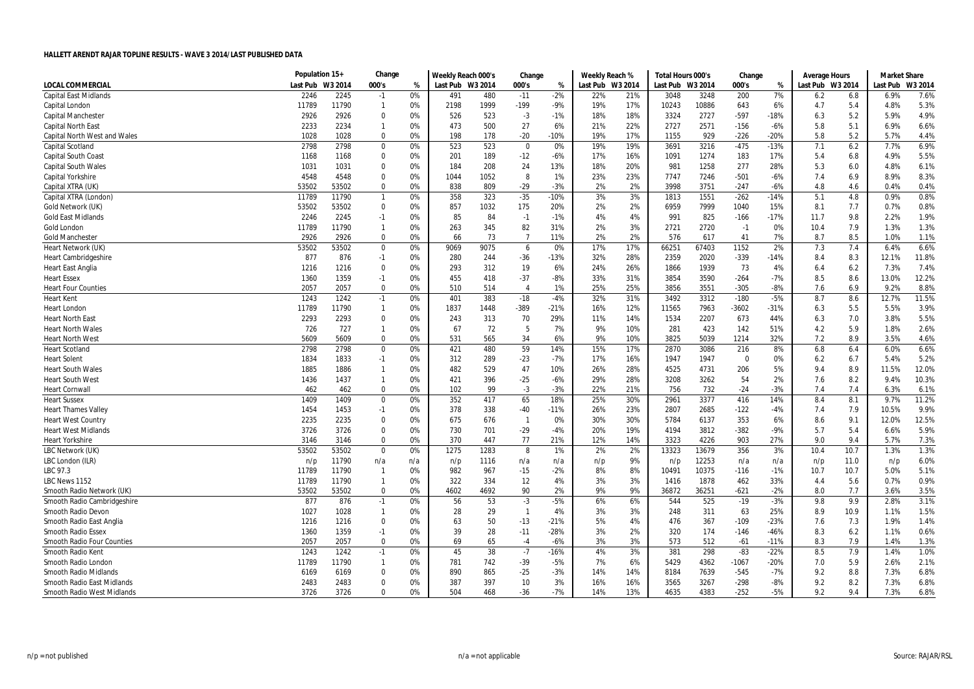|                                     | Population 15+ |         | Change         |     | Weekly Reach 000's |      | Change         |        | Weekly Reach %   |     | Total Hours 000's |         | Change         |        | Average Hours    |      | <b>Market Share</b> |         |
|-------------------------------------|----------------|---------|----------------|-----|--------------------|------|----------------|--------|------------------|-----|-------------------|---------|----------------|--------|------------------|------|---------------------|---------|
| <b>LOCAL COMMERCIAL</b>             | Last Pub       | W3 2014 | 000's          | %   | Last Pub W3 2014   |      | 000's          | %      | Last Pub W3 2014 |     | Last Pub          | W3 2014 | 000's          | %      | Last Pub W3 2014 |      | Last Pub            | W3 2014 |
| <b>Capital East Midlands</b>        | 2246           | 2245    | $-1$           | 0%  | 491                | 480  | $-11$          | $-2%$  | 22%              | 21% | 3048              | 3248    | 200            | 7%     | 6.2              | 6.8  | 6.9%                | 7.6%    |
| Capital London                      | 11789          | 11790   | $\mathbf{1}$   | 0%  | 2198               | 1999 | $-199$         | $-9%$  | 19%              | 17% | 10243             | 10886   | 643            | 6%     | 4.7              | 5.4  | 4.8%                | 5.3%    |
| <b>Capital Manchester</b>           | 2926           | 2926    | 0              | 0%  | 526                | 523  | $-3$           | $-1%$  | 18%              | 18% | 3324              | 2727    | $-597$         | $-18%$ | 6.3              | 5.2  | 5.9%                | 4.9%    |
| <b>Capital North East</b>           | 2233           | 2234    | $\mathbf{1}$   | 0%  | 473                | 500  | 27             | 6%     | 21%              | 22% | 2727              | 2571    | $-156$         | $-6%$  | 5.8              | 5.1  | 6.9%                | 6.6%    |
| <b>Capital North West and Wales</b> | 1028           | 1028    | $\Omega$       | 0%  | 198                | 178  | $-20$          | $-10%$ | 19%              | 17% | 1155              | 929     | $-226$         | $-20%$ | 5.8              | 5.2  | 5.7%                | 4.4%    |
| Capital Scotland                    | 2798           | 2798    | $\mathbf 0$    | 0%  | 523                | 523  | $\mathbf 0$    | 0%     | 19%              | 19% | 3691              | 3216    | $-475$         | $-13%$ | 7.1              | 6.2  | 7.7%                | 6.9%    |
| <b>Capital South Coast</b>          | 1168           | 1168    | 0              | 0%  | 201                | 189  | $-12$          | $-6%$  | 17%              | 16% | 1091              | 1274    | 183            | 17%    | 5.4              | 6.8  | 4.9%                | 5.5%    |
| <b>Capital South Wales</b>          | 1031           | 1031    | $\Omega$       | 0%  | 184                | 208  | 24             | 13%    | 18%              | 20% | 981               | 1258    | 277            | 28%    | 5.3              | 6.0  | 4.8%                | 6.1%    |
| <b>Capital Yorkshire</b>            | 4548           | 4548    | 0              | 0%  | 1044               | 1052 | 8              | 1%     | 23%              | 23% | 7747              | 7246    | $-501$         | $-6%$  | 7.4              | 6.9  | 8.9%                | 8.3%    |
| Capital XTRA (UK)                   | 53502          | 53502   | 0              | 0%  | 838                | 809  | $-29$          | $-3%$  | 2%               | 2%  | 3998              | 3751    | $-247$         | $-6%$  | 4.8              | 4.6  | 0.4%                | 0.4%    |
| Capital XTRA (London)               | 11789          | 11790   | $\mathbf{1}$   | 0%  | 358                | 323  | $-35$          | $-10%$ | 3%               | 3%  | 1813              | 1551    | $-262$         | $-14%$ | 5.1              | 4.8  | 0.9%                | 0.8%    |
| Gold Network (UK)                   | 53502          | 53502   | 0              | 0%  | 857                | 1032 | 175            | 20%    | 2%               | 2%  | 6959              | 7999    | 1040           | 15%    | 8.1              | 7.7  | 0.7%                | 0.8%    |
| <b>Gold East Midlands</b>           | 2246           | 2245    | $-1$           | 0%  | 85                 | 84   | $-1$           | $-1%$  | 4%               | 4%  | 991               | 825     | $-166$         | $-17%$ | 11.7             | 9.8  | 2.2%                | 1.9%    |
| Gold London                         | 11789          | 11790   | $\mathbf{1}$   | 0%  | 263                | 345  | 82             | 31%    | 2%               | 3%  | 2721              | 2720    | $-1$           | 0%     | 10.4             | 7.9  | 1.3%                | 1.3%    |
| <b>Gold Manchester</b>              | 2926           | 2926    | $\Omega$       | 0%  | 66                 | 73   | $\overline{7}$ | 11%    | 2%               | 2%  | 576               | 617     | 41             | 7%     | 8.7              | 8.5  | 1.0%                | 1.1%    |
| Heart Network (UK)                  | 53502          | 53502   | $\mathbf 0$    | 0%  | 9069               | 9075 | 6              | 0%     | 17%              | 17% | 66251             | 67403   | 1152           | 2%     | 7.3              | 7.4  | 6.4%                | 6.6%    |
| <b>Heart Cambridgeshire</b>         | 877            | 876     | $-1$           | 0%  | 280                | 244  | $-36$          | $-13%$ | 32%              | 28% | 2359              | 2020    | $-339$         | $-14%$ | 8.4              | 8.3  | 12.1%               | 11.8%   |
| <b>Heart East Anglia</b>            | 1216           | 1216    | 0              | 0%  | 293                | 312  | 19             | 6%     | 24%              | 26% | 1866              | 1939    | 73             | 4%     | 6.4              | 6.2  | 7.3%                | 7.4%    |
| <b>Heart Essex</b>                  | 1360           | 1359    | $-1$           | 0%  | 455                | 418  | $-37$          | $-8%$  | 33%              | 31% | 3854              | 3590    | $-264$         | $-7%$  | 8.5              | 8.6  | 13.0%               | 12.2%   |
| <b>Heart Four Counties</b>          | 2057           | 2057    | 0              | 0%  | 510                | 514  | 4              | 1%     | 25%              | 25% | 3856              | 3551    | $-305$         | $-8%$  | 7.6              | 6.9  | 9.2%                | 8.8%    |
| <b>Heart Kent</b>                   | 1243           | 1242    | $-1$           | 0%  | 401                | 383  | $-18$          | $-4%$  | 32%              | 31% | 3492              | 3312    | $-180$         | $-5%$  | 8.7              | 8.6  | 12.7%               | 11.5%   |
| <b>Heart London</b>                 | 11789          | 11790   | $\mathbf{1}$   | 0%  | 1837               | 1448 | -389           | $-21%$ | 16%              | 12% | 11565             | 7963    | $-3602$        | $-31%$ | 6.3              | 5.5  | 5.5%                | 3.9%    |
| <b>Heart North East</b>             | 2293           | 2293    | 0              | 0%  | 243                | 313  | 70             | 29%    | 11%              | 14% | 1534              | 2207    | 673            | 44%    | 6.3              | 7.0  | 3.8%                | 5.5%    |
| <b>Heart North Wales</b>            | 726            | 727     | $\mathbf{1}$   | 0%  | 67                 | 72   | 5              | 7%     | 9%               | 10% | 281               | 423     | 142            | 51%    | 4.2              | 5.9  | 1.8%                | 2.6%    |
| <b>Heart North West</b>             | 5609           | 5609    | $\Omega$       | 0%  | 531                | 565  | 34             | 6%     | 9%               | 10% | 3825              | 5039    | 1214           | 32%    | 7.2              | 8.9  | 3.5%                | 4.6%    |
| <b>Heart Scotland</b>               | 2798           | 2798    | 0              | 0%  | 421                | 480  | 59             | 14%    | 15%              | 17% | 2870              | 3086    | 216            | 8%     | 6.8              | 6.4  | 6.0%                | 6.6%    |
| <b>Heart Solent</b>                 | 1834           | 1833    | $-1$           | 0%  | 312                | 289  | $-23$          | $-7%$  | 17%              | 16% | 1947              | 1947    | $\overline{0}$ | 0%     | 6.2              | 6.7  | 5.4%                | 5.2%    |
| <b>Heart South Wales</b>            | 1885           | 1886    | $\mathbf{1}$   | 0%  | 482                | 529  | 47             | 10%    | 26%              | 28% | 4525              | 4731    | 206            | 5%     | 9.4              | 8.9  | 11.5%               | 12.0%   |
| <b>Heart South West</b>             | 1436           | 1437    | $\mathbf{1}$   | 0%  | 421                | 396  | $-25$          | $-6%$  | 29%              | 28% | 3208              | 3262    | 54             | 2%     | 7.6              | 8.2  | 9.4%                | 10.3%   |
| <b>Heart Cornwal</b>                | 462            | 462     | 0              | 0%  | 102                | 99   | $-3$           | $-3%$  | 22%              | 21% | 756               | 732     | $-24$          | $-3%$  | 7.4              | 7.4  | 6.3%                | 6.1%    |
| <b>Heart Sussex</b>                 | 1409           | 1409    | $\mathbf 0$    | 0%  | 352                | 417  | 65             | 18%    | 25%              | 30% | 2961              | 3377    | 416            | 14%    | 8.4              | 8.1  | 9.7%                | 11.2%   |
| <b>Heart Thames Valley</b>          | 1454           | 1453    | $-1$           | 0%  | 378                | 338  | $-40$          | $-11%$ | 26%              | 23% | 2807              | 2685    | $-122$         | $-4%$  | 7.4              | 7.9  | 10.5%               | 9.9%    |
| <b>Heart West Country</b>           | 2235           | 2235    | 0              | 0%  | 675                | 676  | $\overline{1}$ | 0%     | 30%              | 30% | 5784              | 6137    | 353            | 6%     | 8.6              | 9.1  | 12.0%               | 12.5%   |
| <b>Heart West Midlands</b>          | 3726           | 3726    | 0              | 0%  | 730                | 701  | $-29$          | $-4%$  | 20%              | 19% | 4194              | 3812    | $-382$         | $-9%$  | 5.7              | 5.4  | 6.6%                | 5.9%    |
| <b>Heart Yorkshire</b>              | 3146           | 3146    | $\mathbf 0$    | 0%  | 370                | 447  | 77             | 21%    | 12%              | 14% | 3323              | 4226    | 903            | 27%    | 9.0              | 9.4  | 5.7%                | 7.3%    |
| LBC Network (UK)                    | 53502          | 53502   | $\mathbf 0$    | 0%  | 1275               | 1283 | 8              | 1%     | 2%               | 2%  | 13323             | 13679   | 356            | 3%     | 10.4             | 10.7 | 1.3%                | 1.3%    |
| LBC London (ILR)                    | n/p            | 11790   | n/a            | n/a | n/p                | 1116 | n/a            | n/a    | n/p              | 9%  | n/p               | 12253   | n/a            | n/a    | n/p              | 11.0 | n/p                 | 6.0%    |
| LBC 97.3                            | 11789          | 11790   | $\overline{1}$ | 0%  | 982                | 967  | $-15$          | $-2%$  | 8%               | 8%  | 10491             | 10375   | $-116$         | -1%    | 10.7             | 10.7 | 5.0%                | 5.1%    |
| LBC News 1152                       | 11789          | 11790   | $\overline{1}$ | 0%  | 322                | 334  | 12             | 4%     | 3%               | 3%  | 1416              | 1878    | 462            | 33%    | 4.4              | 5.6  | 0.7%                | 0.9%    |
| Smooth Radio Network (UK)           | 53502          | 53502   | 0              | 0%  | 4602               | 4692 | 90             | 2%     | 9%               | 9%  | 36872             | 36251   | $-621$         | $-2%$  | 8.0              | 7.7  | 3.6%                | 3.5%    |
| Smooth Radio Cambridgeshire         | 877            | 876     | $-1$           | 0%  | 56                 | 53   | $-3$           | $-5%$  | 6%               | 6%  | 544               | 525     | $-19$          | $-3%$  | 9.8              | 9.9  | 2.8%                | 3.1%    |
| Smooth Radio Devon                  | 1027           | 1028    | $\mathbf{1}$   | 0%  | 28                 | 29   | $\overline{1}$ | 4%     | 3%               | 3%  | 248               | 311     | 63             | 25%    | 8.9              | 10.9 | 1.1%                | 1.5%    |
| Smooth Radio East Anglia            | 1216           | 1216    | 0              | 0%  | 63                 | 50   | $-13$          | $-21%$ | 5%               | 4%  | 476               | 367     | $-109$         | $-23%$ | 7.6              | 7.3  | 1.9%                | 1.4%    |
| <b>Smooth Radio Essex</b>           | 1360           | 1359    | $-1$           | 0%  | 39                 | 28   | $-11$          | $-28%$ | 3%               | 2%  | 320               | 174     | $-146$         | $-46%$ | 8.3              | 6.2  | 1.1%                | 0.6%    |
| Smooth Radio Four Counties          | 2057           | 2057    | $\Omega$       | 0%  | 69                 | 65   | $-4$           | $-6%$  | 3%               | 3%  | 573               | 512     | $-61$          | $-11%$ | 8.3              | 7.9  | 1.4%                | 1.3%    |
| Smooth Radio Kent                   | 1243           | 1242    | $-1$           | 0%  | 45                 | 38   | $-7$           | $-16%$ | 4%               | 3%  | 381               | 298     | $-83$          | $-22%$ | 8.5              | 7.9  | 1.4%                | 1.0%    |
| Smooth Radio London                 | 11789          | 11790   | $\mathbf{1}$   | 0%  | 781                | 742  | $-39$          | $-5%$  | 7%               | 6%  | 5429              | 4362    | $-1067$        | $-20%$ | 7.0              | 5.9  | 2.6%                | 2.1%    |
| <b>Smooth Radio Midlands</b>        | 6169           | 6169    | $\mathbf 0$    | 0%  | 890                | 865  | $-25$          | $-3%$  | 14%              | 14% | 8184              | 7639    | $-545$         | $-7%$  | 9.2              | 8.8  | 7.3%                | 6.8%    |
| Smooth Radio East Midlands          | 2483           | 2483    | 0              | 0%  | 387                | 397  | 10             | 3%     | 16%              | 16% | 3565              | 3267    | $-298$         | -8%    | 9.2              | 8.2  | 7.3%                | 6.8%    |
| <b>Smooth Radio West Midlands</b>   | 3726           | 3726    | $\Omega$       | በ%  | 504                | 468  | $-36$          | $-7%$  | 14%              | 13% | 4635              | 4383    | $-252$         | $-5%$  | 9.2              | 94   | 7.3%                | 6.8%    |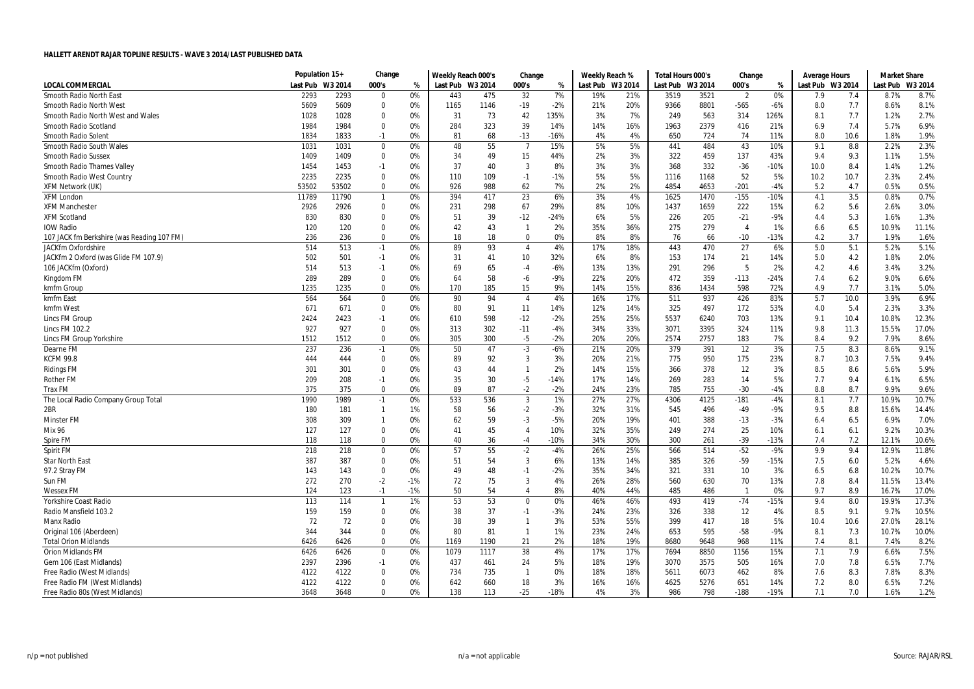|                                            | Population 15+ |         | Change       |       | Weekly Reach 000's |      | Change         |        | Weekly Reach % |         | Total Hours 000's |         | Change                  |        | <b>Average Hours</b> |      | <b>Market Share</b> |         |
|--------------------------------------------|----------------|---------|--------------|-------|--------------------|------|----------------|--------|----------------|---------|-------------------|---------|-------------------------|--------|----------------------|------|---------------------|---------|
| <b>LOCAL COMMERCIAL</b>                    | Last Pub       | W3 2014 | 000's        | %     | Last Pub W3 2014   |      | 000's          | %      | Last Pub       | W3 2014 | Last Pub          | W3 2014 | 000's                   | %      | Last Pub W3 2014     |      | Last Pub            | W3 2014 |
| Smooth Radio North East                    | 2293           | 2293    | 0            | 0%    | 443                | 475  | 32             | 7%     | 19%            | 21%     | 3519              | 3521    | $\overline{2}$          | 0%     | 7.9                  | 7.4  | 8.7%                | 8.7%    |
| Smooth Radio North West                    | 5609           | 5609    | 0            | 0%    | 1165               | 1146 | $-19$          | $-2%$  | 21%            | 20%     | 9366              | 8801    | $-565$                  | $-6%$  | 8.0                  | 7.7  | 8.6%                | 8.1%    |
| Smooth Radio North West and Wales          | 1028           | 1028    | $\Omega$     | 0%    | 31                 | 73   | 42             | 135%   | 3%             | 7%      | 249               | 563     | 314                     | 126%   | 8.1                  | 7.7  | 1.2%                | 2.7%    |
| Smooth Radio Scotland                      | 1984           | 1984    | 0            | 0%    | 284                | 323  | 39             | 14%    | 14%            | 16%     | 1963              | 2379    | 416                     | 21%    | 6.9                  | 7.4  | 5.7%                | 6.9%    |
| Smooth Radio Solent                        | 1834           | 1833    | $-1$         | 0%    | 81                 | 68   | $-13$          | $-16%$ | 4%             | 4%      | 650               | 724     | 74                      | 11%    | 8.0                  | 10.6 | 1.8%                | 1.9%    |
| Smooth Radio South Wales                   | 1031           | 1031    | $\mathbf 0$  | 0%    | 48                 | 55   | $\overline{7}$ | 15%    | 5%             | 5%      | 441               | 484     | 43                      | 10%    | 9.1                  | 8.8  | 2.2%                | 2.3%    |
| <b>Smooth Radio Sussex</b>                 | 1409           | 1409    | 0            | 0%    | 34                 | 49   | 15             | 44%    | 2%             | 3%      | 322               | 459     | 137                     | 43%    | 9.4                  | 9.3  | 1.1%                | 1.5%    |
| Smooth Radio Thames Valley                 | 1454           | 1453    | $-1$         | 0%    | 37                 | 40   | 3              | 8%     | 3%             | 3%      | 368               | 332     | $-36$                   | $-10%$ | 10.0                 | 8.4  | 1.4%                | 1.2%    |
| Smooth Radio West Country                  | 2235           | 2235    | 0            | 0%    | 110                | 109  | $-1$           | $-1%$  | 5%             | 5%      | 1116              | 1168    | 52                      | 5%     | 10.2                 | 10.7 | 2.3%                | 2.4%    |
| <b>XFM Network (UK)</b>                    | 53502          | 53502   | 0            | 0%    | 926                | 988  | 62             | 7%     | 2%             | 2%      | 4854              | 4653    | $-201$                  | $-4%$  | 5.2                  | 4.7  | 0.5%                | 0.5%    |
| <b>XFM London</b>                          | 11789          | 11790   | $\mathbf{1}$ | 0%    | 394                | 417  | 23             | 6%     | 3%             | 4%      | 1625              | 1470    | $-155$                  | $-10%$ | 4.1                  | 3.5  | 0.8%                | 0.7%    |
| <b>XFM Manchester</b>                      | 2926           | 2926    | 0            | 0%    | 231                | 298  | 67             | 29%    | 8%             | 10%     | 1437              | 1659    | 222                     | 15%    | 6.2                  | 5.6  | 2.6%                | 3.0%    |
| <b>XFM Scotland</b>                        | 830            | 830     | $\Omega$     | 0%    | 51                 | 39   | $-12$          | $-24%$ | 6%             | 5%      | 226               | 205     | $-21$                   | $-9%$  | 4.4                  | 5.3  | 1.6%                | 1.3%    |
| <b>IOW Radio</b>                           | 120            | 120     | $\mathbf 0$  | 0%    | 42                 | 43   | $\mathbf{1}$   | 2%     | 35%            | 36%     | 275               | 279     | $\overline{4}$          | 1%     | 6.6                  | 6.5  | 10.9%               | 11.1%   |
| 107 JACK fm Berkshire (was Reading 107 FM) | 236            | 236     | $\Omega$     | 0%    | 18                 | 18   | $\mathbf 0$    | 0%     | 8%             | 8%      | 76                | 66      | $-10$                   | $-13%$ | 4.2                  | 3.7  | 1.9%                | 1.6%    |
| <b>JACKfm Oxfordshire</b>                  | 514            | 513     | $-1$         | 0%    | 89                 | 93   | $\overline{4}$ | 4%     | 17%            | 18%     | 443               | 470     | 27                      | 6%     | 5.0                  | 5.1  | 5.2%                | 5.1%    |
| JACKfm 2 Oxford (was Glide FM 107.9)       | 502            | 501     | $-1$         | 0%    | 31                 | 41   | 10             | 32%    | 6%             | 8%      | 153               | 174     | 21                      | 14%    | 5.0                  | 4.2  | 1.8%                | 2.0%    |
| 106 JACKfm (Oxford)                        | 514            | 513     | $-1$         | 0%    | 69                 | 65   | -4             | $-6%$  | 13%            | 13%     | 291               | 296     | -5                      | 2%     | 4.2                  | 4.6  | 3.4%                | 3.2%    |
| Kingdom FM                                 | 289            | 289     | $\mathbf 0$  | 0%    | 64                 | 58   | -6             | $-9%$  | 22%            | 20%     | 472               | 359     | $-113$                  | $-24%$ | 7.4                  | 6.2  | 9.0%                | 6.6%    |
| kmfm Group                                 | 1235           | 1235    | $\Omega$     | 0%    | 170                | 185  | 15             | 9%     | 14%            | 15%     | 836               | 1434    | 598                     | 72%    | 4.9                  | 7.7  | 3.1%                | 5.0%    |
| kmfm East                                  | 564            | 564     | $\mathbf 0$  | 0%    | 90                 | 94   | $\overline{4}$ | 4%     | 16%            | 17%     | 511               | 937     | 426                     | 83%    | 5.7                  | 10.0 | 3.9%                | 6.9%    |
| kmfm West                                  | 671            | 671     | 0            | 0%    | 80                 | 91   | 11             | 14%    | 12%            | 14%     | 325               | 497     | 172                     | 53%    | 4.0                  | 5.4  | 2.3%                | 3.3%    |
| Lincs FM Group                             | 2424           | 2423    | $-1$         | 0%    | 610                | 598  | $-12$          | $-2%$  | 25%            | 25%     | 5537              | 6240    | 703                     | 13%    | 9.1                  | 10.4 | 10.8%               | 12.3%   |
| <b>Lincs FM 102.2</b>                      | 927            | 927     | $\Omega$     | 0%    | 313                | 302  | $-11$          | $-4%$  | 34%            | 33%     | 3071              | 3395    | 324                     | 11%    | 9.8                  | 11.3 | 15.5%               | 17.0%   |
| Lincs FM Group Yorkshire                   | 1512           | 1512    | 0            | 0%    | 305                | 300  | -5             | $-2%$  | 20%            | 20%     | 2574              | 2757    | 183                     | 7%     | 8.4                  | 9.2  | 7.9%                | 8.6%    |
| Dearne FM                                  | 237            | 236     | $-1$         | 0%    | 50                 | 47   | $-3$           | $-6%$  | 21%            | 20%     | 379               | 391     | 12                      | 3%     | 7.5                  | 8.3  | 8.6%                | 9.1%    |
| <b>KCFM 99.8</b>                           | 444            | 444     | 0            | 0%    | 89                 | 92   | $\mathbf{3}$   | 3%     | 20%            | 21%     | 775               | 950     | 175                     | 23%    | 8.7                  | 10.3 | 7.5%                | 9.4%    |
| <b>Ridings FM</b>                          | 301            | 301     | $\Omega$     | 0%    | 43                 | 44   | $\mathbf{1}$   | 2%     | 14%            | 15%     | 366               | 378     | 12                      | 3%     | 8.5                  | 8.6  | 5.6%                | 5.9%    |
| <b>Rother FM</b>                           | 209            | 208     | $-1$         | 0%    | 35                 | 30   | $-5$           | $-14%$ | 17%            | 14%     | 269               | 283     | 14                      | 5%     | 7.7                  | 9.4  | 6.1%                | 6.5%    |
| <b>Trax FM</b>                             | 375            | 375     | $\Omega$     | 0%    | 89                 | 87   | $-2$           | $-2%$  | 24%            | 23%     | 785               | 755     | $-30$                   | $-4%$  | 8.8                  | 8.7  | 9.9%                | 9.6%    |
| The Local Radio Company Group Total        | 1990           | 1989    | $-1$         | 0%    | 533                | 536  | 3              | 1%     | 27%            | 27%     | 4306              | 4125    | $-181$                  | $-4%$  | 8.1                  | 7.7  | 10.9%               | 10.7%   |
| 2BR                                        | 180            | 181     | $\mathbf{1}$ | 1%    | 58                 | 56   | $-2$           | $-3%$  | 32%            | 31%     | 545               | 496     | $-49$                   | $-9%$  | 9.5                  | 8.8  | 15.6%               | 14.4%   |
| <b>Minster FM</b>                          | 308            | 309     | $\mathbf{1}$ | 0%    | 62                 | 59   | $-3$           | $-5%$  | 20%            | 19%     | 401               | 388     | $-13$                   | $-3%$  | 6.4                  | 6.5  | 6.9%                | 7.0%    |
| <b>Mix 96</b>                              | 127            | 127     | 0            | 0%    | 41                 | 45   | $\overline{4}$ | 10%    | 32%            | 35%     | 249               | 274     | 25                      | 10%    | 6.1                  | 6.1  | 9.2%                | 10.3%   |
| Spire FM                                   | 118            | 118     | 0            | 0%    | 40                 | 36   | $-4$           | $-10%$ | 34%            | 30%     | 300               | 261     | $-39$                   | $-13%$ | 7.4                  | 7.2  | 12.1%               | 10.6%   |
| Spirit FM                                  | 218            | 218     | 0            | 0%    | 57                 | 55   | $-2$           | $-4%$  | 26%            | 25%     | 566               | 514     | $-52$                   | $-9%$  | 9.9                  | 9.4  | 12.9%               | 11.8%   |
| <b>Star North East</b>                     | 387            | 387     | $\mathbf 0$  | 0%    | 51                 | 54   | 3              | 6%     | 13%            | 14%     | 385               | 326     | $-59$                   | $-15%$ | 7.5                  | 6.0  | 5.2%                | 4.6%    |
| 97.2 Stray FM                              | 143            | 143     | 0            | 0%    | 49                 | 48   | $-1$           | $-2%$  | 35%            | 34%     | 321               | 331     | 10                      | 3%     | 6.5                  | 6.8  | 10.2%               | 10.7%   |
| Sun FM                                     | 272            | 270     | $-2$         | $-1%$ | 72                 | 75   | 3              | 4%     | 26%            | 28%     | 560               | 630     | 70                      | 13%    | 7.8                  | 8.4  | 11.5%               | 13.4%   |
| <b>Wessex FM</b>                           | 124            | 123     | $-1$         | $-1%$ | 50                 | 54   | $\overline{4}$ | 8%     | 40%            | 44%     | 485               | 486     | $\overline{\mathbf{1}}$ | 0%     | 9.7                  | 8.9  | 16.7%               | 17.0%   |
| Yorkshire Coast Radio                      | 113            | 114     | $\mathbf{1}$ | 1%    | 53                 | 53   | $\mathbf 0$    | 0%     | 46%            | 46%     | 493               | 419     | $-74$                   | $-15%$ | 9.4                  | 8.0  | 19.9%               | 17.3%   |
| Radio Mansfield 103.2                      | 159            | 159     | 0            | 0%    | 38                 | 37   | $-1$           | $-3%$  | 24%            | 23%     | 326               | 338     | 12                      | 4%     | 8.5                  | 9.1  | 9.7%                | 10.5%   |
| <b>Manx Radio</b>                          | 72             | 72      | 0            | 0%    | 38                 | 39   | $\mathbf{1}$   | 3%     | 53%            | 55%     | 399               | 417     | 18                      | 5%     | 10.4                 | 10.6 | 27.0%               | 28.1%   |
| Original 106 (Aberdeen)                    | 344            | 344     | $\mathbf 0$  | 0%    | 80                 | 81   | $\overline{1}$ | 1%     | 23%            | 24%     | 653               | 595     | $-58$                   | $-9%$  | 8.1                  | 7.3  | 10.7%               | 10.0%   |
| <b>Total Orion Midlands</b>                | 6426           | 6426    | $\Omega$     | 0%    | 1169               | 1190 | 21             | 2%     | 18%            | 19%     | 8680              | 9648    | 968                     | 11%    | 7.4                  | 8.1  | 7.4%                | 8.2%    |
| Orion Midlands FM                          | 6426           | 6426    | 0            | 0%    | 1079               | 1117 | 38             | 4%     | 17%            | 17%     | 7694              | 8850    | 1156                    | 15%    | 7.1                  | 7.9  | 6.6%                | 7.5%    |
| Gem 106 (East Midlands)                    | 2397           | 2396    | $-1$         | 0%    | 437                | 461  | 24             | 5%     | 18%            | 19%     | 3070              | 3575    | 505                     | 16%    | 7.0                  | 7.8  | 6.5%                | 7.7%    |
| Free Radio (West Midlands)                 | 4122           | 4122    | $\mathbf 0$  | 0%    | 734                | 735  | $\overline{1}$ | 0%     | 18%            | 18%     | 5611              | 6073    | 462                     | 8%     | 7.6                  | 8.3  | 7.8%                | 8.3%    |
| Free Radio FM (West Midlands)              | 4122           | 4122    | 0            | 0%    | 642                | 660  | 18             | 3%     | 16%            | 16%     | 4625              | 5276    | 651                     | 14%    | 7.2                  | 8.0  | 6.5%                | 7.2%    |
| Free Radio 80s (West Midlands)             | 3648           | 3648    | $\Omega$     | በ%    | 138                | 113  | $-25$          | $-18%$ | 4%             | 3%      | 986               | 798     | $-188$                  | $-19%$ | 7.1                  | 7.0  | 1.6%                | 1.2%    |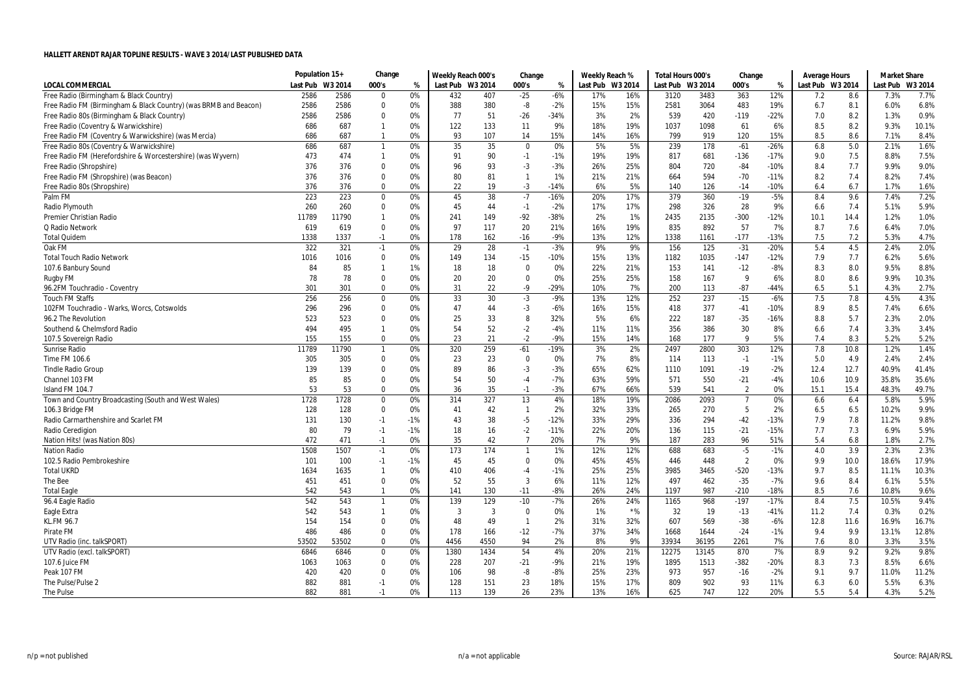|                                                                  | Population 15+ |         | Change       |       | Weekly Reach 000's |      | Change         |        | Weekly Reach %   |       | Total Hours 000's |       | Change         |        | Average Hours    |      | <b>Market Share</b> |         |
|------------------------------------------------------------------|----------------|---------|--------------|-------|--------------------|------|----------------|--------|------------------|-------|-------------------|-------|----------------|--------|------------------|------|---------------------|---------|
| <b>LOCAL COMMERCIAL</b>                                          | Last Pub       | W3 2014 | 000's        | %     | Last Pub W3 2014   |      | 000's          | %      | Last Pub W3 2014 |       | Last Pub W3 2014  |       | 000's          | %      | Last Pub W3 2014 |      | Last Pub            | W3 2014 |
| Free Radio (Birmingham & Black Country)                          | 2586           | 2586    | $\Omega$     | 0%    | 432                | 407  | $-25$          | $-6%$  | 17%              | 16%   | 3120              | 3483  | 363            | 12%    | 7.2              | 8.6  | 7.3%                | 7.7%    |
| Free Radio FM (Birmingham & Black Country) (was BRMB and Beacon) | 2586           | 2586    | $\Omega$     | 0%    | 388                | 380  | -8             | $-2%$  | 15%              | 15%   | 2581              | 3064  | 483            | 19%    | 6.7              | 8.1  | 6.0%                | 6.8%    |
| Free Radio 80s (Birmingham & Black Country)                      | 2586           | 2586    | $\mathbf 0$  | 0%    | 77                 | 51   | $-26$          | $-34%$ | 3%               | 2%    | 539               | 420   | $-119$         | $-22%$ | 7.0              | 8.2  | 1.3%                | 0.9%    |
| Free Radio (Coventry & Warwickshire)                             | 686            | 687     | $\mathbf{1}$ | 0%    | 122                | 133  | 11             | 9%     | 18%              | 19%   | 1037              | 1098  | 61             | 6%     | 8.5              | 8.2  | 9.3%                | 10.1%   |
| Free Radio FM (Coventry & Warwickshire) (was Mercia)             | 686            | 687     | $\mathbf{1}$ | 0%    | 93                 | 107  | 14             | 15%    | 14%              | 16%   | 799               | 919   | 120            | 15%    | 8.5              | 8.6  | 7.1%                | 8.4%    |
| Free Radio 80s (Coventry & Warwickshire)                         | 686            | 687     | $\mathbf{1}$ | 0%    | 35                 | 35   | 0              | 0%     | 5%               | 5%    | 239               | 178   | $-61$          | $-26%$ | 6.8              | 5.0  | 2.1%                | 1.6%    |
| Free Radio FM (Herefordshire & Worcestershire) (was Wyvern)      | 473            | 474     | $\mathbf{1}$ | 0%    | 91                 | 90   | $-1$           | $-1%$  | 19%              | 19%   | 817               | 681   | $-136$         | $-17%$ | 9.0              | 7.5  | 8.8%                | 7.5%    |
| Free Radio (Shropshire)                                          | 376            | 376     | $\Omega$     | 0%    | 96                 | 93   | $-3$           | $-3%$  | 26%              | 25%   | 804               | 720   | $-84$          | $-10%$ | 8.4              | 7.7  | 9.9%                | 9.0%    |
| Free Radio FM (Shropshire) (was Beacon)                          | 376            | 376     | $\mathbf 0$  | 0%    | 80                 | 81   | $\mathbf{1}$   | 1%     | 21%              | 21%   | 664               | 594   | $-70$          | $-11%$ | 8.2              | 7.4  | 8.2%                | 7.4%    |
| Free Radio 80s (Shropshire)                                      | 376            | 376     | 0            | 0%    | 22                 | 19   | $-3$           | -14%   | 6%               | 5%    | 140               | 126   | $-14$          | $-10%$ | 6.4              | 6.7  | 1.7%                | 1.6%    |
| Palm FM                                                          | 223            | 223     | 0            | 0%    | 45                 | 38   | $-7$           | $-16%$ | 20%              | 17%   | 379               | 360   | $-19$          | $-5%$  | 8.4              | 9.6  | 7.4%                | 7.2%    |
| Radio Plymouth                                                   | 260            | 260     | $\mathbf 0$  | 0%    | 45                 | 44   | $-1$           | $-2%$  | 17%              | 17%   | 298               | 326   | 28             | 9%     | 6.6              | 7.4  | 5.1%                | 5.9%    |
| Premier Christian Radio                                          | 11789          | 11790   | -1           | 0%    | 241                | 149  | $-92$          | $-38%$ | 2%               | 1%    | 2435              | 2135  | $-300$         | $-12%$ | 10.1             | 14.4 | 1.2%                | 1.0%    |
| Q Radio Network                                                  | 619            | 619     | $\mathbf 0$  | 0%    | 97                 | 117  | 20             | 21%    | 16%              | 19%   | 835               | 892   | 57             | 7%     | 8.7              | 7.6  | 6.4%                | 7.0%    |
| <b>Total Quidem</b>                                              | 1338           | 1337    | $-1$         | 0%    | 178                | 162  | $-16$          | $-9%$  | 13%              | 12%   | 1338              | 1161  | $-177$         | $-13%$ | 7.5              | 7.2  | 5.3%                | 4.7%    |
| Oak FM                                                           | 322            | 321     | $-1$         | 0%    | 29                 | 28   | $-1$           | $-3%$  | 9%               | 9%    | 156               | 125   | $-31$          | $-20%$ | 5.4              | 4.5  | 2.4%                | 2.0%    |
| <b>Total Touch Radio Network</b>                                 | 1016           | 1016    | 0            | 0%    | 149                | 134  | $-15$          | -10%   | 15%              | 13%   | 1182              | 1035  | $-147$         | $-12%$ | 7.9              | 7.7  | 6.2%                | 5.6%    |
| 107.6 Banbury Sound                                              | 84             | 85      |              | 1%    | 18                 | 18   | $\mathbf 0$    | 0%     | 22%              | 21%   | 153               | 141   | $-12$          | $-8%$  | 8.3              | 8.0  | 9.5%                | 8.8%    |
| <b>Rugby FM</b>                                                  | 78             | 78      | $\mathbf 0$  | 0%    | 20                 | 20   | $\Omega$       | 0%     | 25%              | 25%   | 158               | 167   | 9              | 6%     | 8.0              | 8.6  | 9.9%                | 10.3%   |
| 96.2FM Touchradio - Coventry                                     | 301            | 301     | $\mathbf 0$  | 0%    | 31                 | 22   | $-9$           | $-29%$ | 10%              | 7%    | 200               | 113   | $-87$          | $-44%$ | 6.5              | 5.1  | 4.3%                | 2.7%    |
| <b>Touch FM Staffs</b>                                           | 256            | 256     | $\pmb{0}$    | 0%    | 33                 | 30   | $-3$           | $-9%$  | 13%              | 12%   | 252               | 237   | $-15$          | $-6%$  | 7.5              | 7.8  | 4.5%                | 4.3%    |
| 102FM Touchradio - Warks, Worcs, Cotswolds                       | 296            | 296     | $\mathbf 0$  | 0%    | 47                 | 44   | $-3$           | $-6%$  | 16%              | 15%   | 418               | 377   | $-41$          | $-10%$ | 8.9              | 8.5  | 7.4%                | 6.6%    |
| 96.2 The Revolution                                              | 523            | 523     | $\Omega$     | 0%    | 25                 | 33   | 8              | 32%    | 5%               | 6%    | 222               | 187   | $-35$          | $-16%$ | 8.8              | 5.7  | 2.3%                | 2.0%    |
| Southend & Chelmsford Radio                                      | 494            | 495     | $\mathbf{1}$ | 0%    | 54                 | 52   | $-2$           | $-4%$  | 11%              | 11%   | 356               | 386   | 30             | 8%     | 6.6              | 7.4  | 3.3%                | 3.4%    |
| 107.5 Sovereign Radio                                            | 155            | 155     | $\mathbf 0$  | 0%    | 23                 | 21   | $-2$           | $-9%$  | 15%              | 14%   | 168               | 177   | 9              | 5%     | 7.4              | 8.3  | 5.2%                | 5.2%    |
| Sunrise Radio                                                    | 11789          | 11790   | $\mathbf{1}$ | 0%    | 320                | 259  | $-61$          | $-19%$ | 3%               | 2%    | 2497              | 2800  | 303            | 12%    | 7.8              | 10.8 | 1.2%                | 1.4%    |
| Time FM 106.6                                                    | 305            | 305     | $\mathbf 0$  | 0%    | 23                 | 23   | $\Omega$       | 0%     | 7%               | 8%    | 114               | 113   | $-1$           | $-1%$  | 5.0              | 4.9  | 2.4%                | 2.4%    |
| <b>Tindle Radio Group</b>                                        | 139            | 139     | $\mathbf 0$  | 0%    | 89                 | 86   | $-3$           | $-3%$  | 65%              | 62%   | 1110              | 1091  | $-19$          | $-2%$  | 12.4             | 12.7 | 40.9%               | 41.4%   |
| Channel 103 FM                                                   | 85             | 85      | $\mathbf 0$  | 0%    | 54                 | 50   | $-4$           | $-7%$  | 63%              | 59%   | 571               | 550   | $-21$          | $-4%$  | 10.6             | 10.9 | 35.8%               | 35.6%   |
| Island FM 104.7                                                  | 53             | 53      | $\mathbf 0$  | 0%    | 36                 | 35   | $-1$           | $-3%$  | 67%              | 66%   | 539               | 541   | $\overline{2}$ | 0%     | 15.1             | 15.4 | 48.3%               | 49.7%   |
| Town and Country Broadcasting (South and West Wales)             | 1728           | 1728    | $\mathbf 0$  | 0%    | 314                | 327  | 13             | 4%     | 18%              | 19%   | 2086              | 2093  | $\overline{7}$ | 0%     | 6.6              | 6.4  | 5.8%                | 5.9%    |
| 106.3 Bridge FM                                                  | 128            | 128     | $\mathbf 0$  | 0%    | 41                 | 42   | $\overline{1}$ | 2%     | 32%              | 33%   | 265               | 270   | 5              | 2%     | 6.5              | 6.5  | 10.2%               | 9.9%    |
| Radio Carmarthenshire and Scarlet FM                             | 131            | 130     | $-1$         | $-1%$ | 43                 | 38   | $-5$           | $-12%$ | 33%              | 29%   | 336               | 294   | $-42$          | $-13%$ | 7.9              | 7.8  | 11.2%               | 9.8%    |
| Radio Ceredigion                                                 | 80             | 79      | $-1$         | $-1%$ | 18                 | 16   | $-2$           | $-11%$ | 22%              | 20%   | 136               | 115   | $-21$          | $-15%$ | 7.7              | 7.3  | 6.9%                | 5.9%    |
| Nation Hits! (was Nation 80s)                                    | 472            | 471     | $-1$         | 0%    | 35                 | 42   | $\overline{7}$ | 20%    | 7%               | 9%    | 187               | 283   | 96             | 51%    | 5.4              | 6.8  | 1.8%                | 2.7%    |
| <b>Nation Radio</b>                                              | 1508           | 1507    | $-1$         | 0%    | 173                | 174  | $\mathbf{1}$   | 1%     | 12%              | 12%   | 688               | 683   | $-5$           | $-1%$  | 4.0              | 3.9  | 2.3%                | 2.3%    |
| 102.5 Radio Pembrokeshire                                        | 101            | 100     | $-1$         | $-1%$ | 45                 | 45   | $\mathbf 0$    | 0%     | 45%              | 45%   | 446               | 448   | $\overline{2}$ | 0%     | 9.9              | 10.0 | 18.6%               | 17.9%   |
| <b>Total UKRD</b>                                                | 1634           | 1635    | $\mathbf{1}$ | 0%    | 410                | 406  | $-4$           | $-1%$  | 25%              | 25%   | 3985              | 3465  | $-520$         | $-13%$ | 9.7              | 8.5  | 11.1%               | 10.3%   |
| The Bee                                                          | 451            | 451     | $\mathbf 0$  | 0%    | 52                 | 55   | 3              | 6%     | 11%              | 12%   | 497               | 462   | $-35$          | $-7%$  | 9.6              | 8.4  | 6.1%                | 5.5%    |
| <b>Total Eagle</b>                                               | 542            | 543     | $\mathbf{1}$ | 0%    | 141                | 130  | $-11$          | $-8%$  | 26%              | 24%   | 1197              | 987   | $-210$         | $-18%$ | 8.5              | 7.6  | 10.8%               | 9.6%    |
| 96.4 Eagle Radio                                                 | 542            | 543     | $\mathbf{1}$ | 0%    | 139                | 129  | $-10$          | $-7%$  | 26%              | 24%   | 1165              | 968   | $-197$         | $-17%$ | 8.4              | 7.5  | 10.5%               | 9.4%    |
| Eagle Extra                                                      | 542            | 543     | -1           | 0%    | 3                  | 3    | $\Omega$       | 0%     | 1%               | $*$ % | 32                | 19    | $-13$          | $-41%$ | 11.2             | 7.4  | 0.3%                | 0.2%    |
| KL.FM 96.7                                                       | 154            | 154     | $\mathbf 0$  | 0%    | 48                 | 49   | $\overline{1}$ | 2%     | 31%              | 32%   | 607               | 569   | $-38$          | $-6%$  | 12.8             | 11.6 | 16.9%               | 16.7%   |
| Pirate FM                                                        | 486            | 486     | $\Omega$     | 0%    | 178                | 166  | $-12$          | $-7%$  | 37%              | 34%   | 1668              | 1644  | $-24$          | $-1%$  | 9.4              | 9.9  | 13.1%               | 12.8%   |
| UTV Radio (inc. talkSPORT)                                       | 53502          | 53502   | $\mathbf 0$  | 0%    | 4456               | 4550 | 94             | 2%     | 8%               | 9%    | 33934             | 36195 | 2261           | 7%     | 7.6              | 8.0  | 3.3%                | 3.5%    |
| UTV Radio (excl. talkSPORT)                                      | 6846           | 6846    | $\mathbf 0$  | 0%    | 1380               | 1434 | 54             | 4%     | 20%              | 21%   | 12275             | 13145 | 870            | 7%     | 8.9              | 9.2  | 9.2%                | 9.8%    |
| 107.6 Juice FM                                                   | 1063           | 1063    | $\mathbf 0$  | 0%    | 228                | 207  | -21            | $-9%$  | 21%              | 19%   | 1895              | 1513  | $-382$         | $-20%$ | 8.3              | 7.3  | 8.5%                | 6.6%    |
| Peak 107 FM                                                      | 420            | 420     | $\Omega$     | 0%    | 106                | 98   | -8             | $-8%$  | 25%              | 23%   | 973               | 957   | $-16$          | $-2%$  | 9.1              | 9.7  | 11.0%               | 11.2%   |
| The Pulse/Pulse 2                                                | 882            | 881     | $-1$         | 0%    | 128                | 151  | 23             | 18%    | 15%              | 17%   | 809               | 902   | 93             | 11%    | 6.3              | 6.0  | 5.5%                | 6.3%    |
| The Pulse                                                        | 882            | 881     | $-1$         | 0%    | 113                | 139  | 26             | 23%    | 13%              | 16%   | 625               | 747   | 122            | 20%    | 5.5              | 5.4  | 4.3%                | 5.2%    |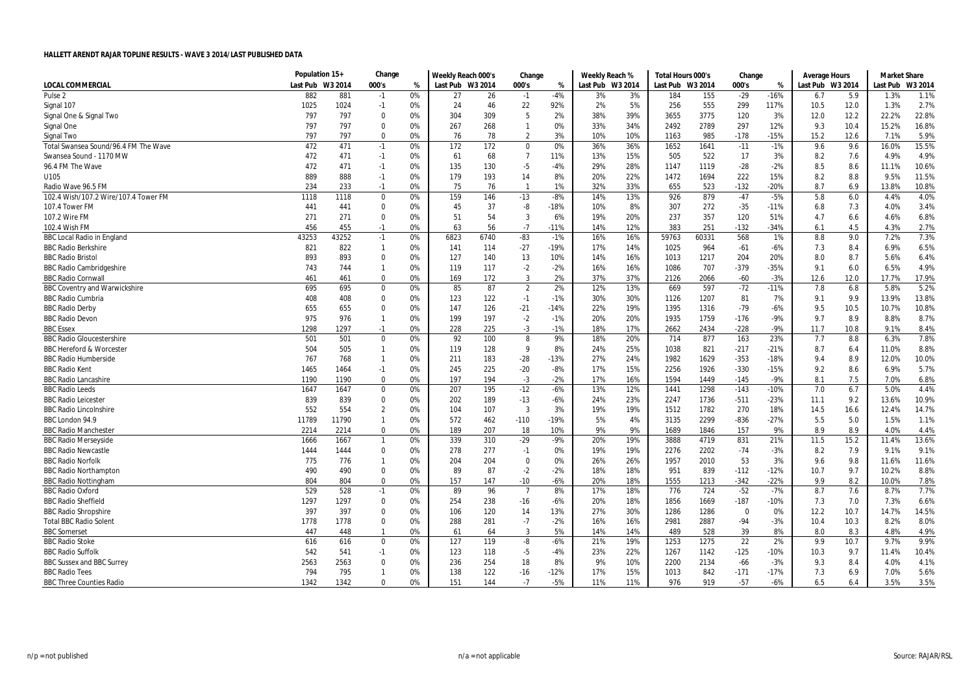|                                      | Population 15+   |       | Change       |    | Weekly Reach 000's |      | Change         |        | Weekly Reach %   |     | Total Hours 000's |       | Change      |        | Average Hours    |      | <b>Market Share</b> |         |
|--------------------------------------|------------------|-------|--------------|----|--------------------|------|----------------|--------|------------------|-----|-------------------|-------|-------------|--------|------------------|------|---------------------|---------|
| <b>LOCAL COMMERCIAL</b>              | Last Pub W3 2014 |       | 000's        | %  | Last Pub W3 2014   |      | 000's          | %      | Last Pub W3 2014 |     | Last Pub W3 2014  |       | 000's       | %      | Last Pub W3 2014 |      | Last Pub            | W3 2014 |
| Pulse <sub>2</sub>                   | 882              | 881   | $-1$         | 0% | 27                 | 26   | $-1$           | $-4%$  | 3%               | 3%  | 184               | 155   | $-29$       | $-16%$ | 6.7              | 5.9  | 1.3%                | 1.1%    |
| Signal 107                           | 1025             | 1024  | $-1$         | 0% | 24                 | 46   | 22             | 92%    | 2%               | 5%  | 256               | 555   | 299         | 117%   | 10.5             | 12.0 | 1.3%                | 2.7%    |
| Signal One & Signal Two              | 797              | 797   | $\Omega$     | 0% | 304                | 309  | 5              | 2%     | 38%              | 39% | 3655              | 3775  | 120         | 3%     | 12.0             | 12.2 | 22.2%               | 22.8%   |
| Signal One                           | 797              | 797   | $\mathbf 0$  | 0% | 267                | 268  | $\mathbf{1}$   | 0%     | 33%              | 34% | 2492              | 2789  | 297         | 12%    | 9.3              | 10.4 | 15.2%               | 16.8%   |
| Signal Two                           | 797              | 797   | $\mathbf 0$  | 0% | 76                 | 78   | $\overline{2}$ | 3%     | 10%              | 10% | 1163              | 985   | $-178$      | $-15%$ | 15.2             | 12.6 | 7.1%                | 5.9%    |
| Total Swansea Sound/96.4 FM The Wave | 472              | 471   | $-1$         | 0% | 172                | 172  | $\mathbf 0$    | 0%     | 36%              | 36% | 1652              | 1641  | $-11$       | $-1%$  | 9.6              | 9.6  | 16.0%               | 15.5%   |
| Swansea Sound - 1170 MW              | 472              | 471   | $-1$         | 0% | 61                 | 68   | $\overline{7}$ | 11%    | 13%              | 15% | 505               | 522   | 17          | 3%     | 8.2              | 7.6  | 4.9%                | 4.9%    |
| 96.4 FM The Wave                     | 472              | 471   | $-1$         | 0% | 135                | 130  | $-5$           | $-4%$  | 29%              | 28% | 1147              | 1119  | $-28$       | $-2%$  | 8.5              | 8.6  | 11.1%               | 10.6%   |
| U105                                 | 889              | 888   | $-1$         | 0% | 179                | 193  | 14             | 8%     | 20%              | 22% | 1472              | 1694  | 222         | 15%    | 8.2              | 8.8  | 9.5%                | 11.5%   |
| Radio Wave 96.5 FM                   | 234              | 233   | $-1$         | 0% | 75                 | 76   | $\overline{1}$ | 1%     | 32%              | 33% | 655               | 523   | $-132$      | $-20%$ | 8.7              | 6.9  | 13.8%               | 10.8%   |
| 102.4 Wish/107.2 Wire/107.4 Tower FM | 1118             | 1118  | $\mathbf 0$  | 0% | 159                | 146  | $-13$          | $-8%$  | 14%              | 13% | 926               | 879   | $-47$       | $-5%$  | 5.8              | 6.0  | 4.4%                | 4.0%    |
| 107.4 Tower FM                       | 441              | 441   | 0            | 0% | 45                 | 37   | -8             | $-18%$ | 10%              | 8%  | 307               | 272   | $-35$       | $-11%$ | 6.8              | 7.3  | 4.0%                | 3.4%    |
| 107.2 Wire FM                        | 271              | 271   | $\mathbf 0$  | 0% | 51                 | 54   | $\overline{3}$ | 6%     | 19%              | 20% | 237               | 357   | 120         | 51%    | 4.7              | 6.6  | 4.6%                | 6.8%    |
| 102.4 Wish FM                        | 456              | 455   | $-1$         | 0% | 63                 | 56   | $-7$           | $-11%$ | 14%              | 12% | 383               | 251   | $-132$      | $-34%$ | 6.1              | 4.5  | 4.3%                | 2.7%    |
| <b>BBC Local Radio in England</b>    | 43253            | 43252 | $-1$         | 0% | 6823               | 6740 | $-83$          | $-1%$  | 16%              | 16% | 59763             | 60331 | 568         | 1%     | 8.8              | 9.0  | 7.2%                | 7.3%    |
| <b>BBC Radio Berkshire</b>           | 821              | 822   | $\mathbf{1}$ | 0% | 141                | 114  | $-27$          | $-19%$ | 17%              | 14% | 1025              | 964   | $-61$       | $-6%$  | 7.3              | 8.4  | 6.9%                | 6.5%    |
| <b>BBC Radio Bristol</b>             | 893              | 893   | 0            | 0% | 127                | 140  | 13             | 10%    | 14%              | 16% | 1013              | 1217  | 204         | 20%    | 8.0              | 8.7  | 5.6%                | 6.4%    |
| <b>BBC Radio Cambridgeshire</b>      | 743              | 744   | $\mathbf{1}$ | 0% | 119                | 117  | $-2$           | $-2%$  | 16%              | 16% | 1086              | 707   | $-379$      | $-35%$ | 9.1              | 6.0  | 6.5%                | 4.9%    |
| <b>BBC Radio Cornwal</b>             | 461              | 461   | $\Omega$     | 0% | 169                | 172  | 3              | 2%     | 37%              | 37% | 2126              | 2066  | $-60$       | $-3%$  | 12.6             | 12.0 | 17.7%               | 17.9%   |
| <b>BBC Coventry and Warwickshire</b> | 695              | 695   | 0            | 0% | 85                 | 87   | $\overline{2}$ | 2%     | 12%              | 13% | 669               | 597   | $-72$       | $-11%$ | 7.8              | 6.8  | 5.8%                | 5.2%    |
| <b>BBC Radio Cumbria</b>             | 408              | 408   | 0            | 0% | 123                | 122  | $-1$           | $-1%$  | 30%              | 30% | 1126              | 1207  | 81          | 7%     | 9.1              | 9.9  | 13.9%               | 13.8%   |
| <b>BBC Radio Derby</b>               | 655              | 655   | $\Omega$     | 0% | 147                | 126  | $-21$          | $-14%$ | 22%              | 19% | 1395              | 1316  | $-79$       | $-6%$  | 9.5              | 10.5 | 10.7%               | 10.8%   |
| <b>BBC Radio Devon</b>               | 975              | 976   | $\mathbf{1}$ | 0% | 199                | 197  | $-2$           | $-1%$  | 20%              | 20% | 1935              | 1759  | $-176$      | $-9%$  | 9.7              | 8.9  | 8.8%                | 8.7%    |
| <b>BBC Essex</b>                     | 1298             | 1297  | $-1$         | 0% | 228                | 225  | $-3$           | $-1%$  | 18%              | 17% | 2662              | 2434  | $-228$      | -9%    | 11.7             | 10.8 | 9.1%                | 8.4%    |
| <b>BBC Radio Gloucestershire</b>     | 501              | 501   | 0            | 0% | 92                 | 100  | 8              | 9%     | 18%              | 20% | 714               | 877   | 163         | 23%    | 7.7              | 8.8  | 6.3%                | 7.8%    |
| <b>BBC Hereford &amp; Worcester</b>  | 504              | 505   | $\mathbf{1}$ | 0% | 119                | 128  | 9              | 8%     | 24%              | 25% | 1038              | 821   | $-217$      | $-21%$ | 8.7              | 6.4  | 11.0%               | 8.8%    |
| <b>BBC Radio Humberside</b>          | 767              | 768   | $\mathbf{1}$ | 0% | 211                | 183  | $-28$          | $-13%$ | 27%              | 24% | 1982              | 1629  | $-353$      | $-18%$ | 9.4              | 8.9  | 12.0%               | 10.0%   |
| <b>BBC Radio Kent</b>                | 1465             | 1464  | $-1$         | 0% | 245                | 225  | $-20$          | $-8%$  | 17%              | 15% | 2256              | 1926  | $-330$      | $-15%$ | 9.2              | 8.6  | 6.9%                | 5.7%    |
| <b>BBC Radio Lancashire</b>          | 1190             | 1190  | $\Omega$     | 0% | 197                | 194  | $-3$           | $-2%$  | 17%              | 16% | 1594              | 1449  | $-145$      | $-9%$  | 8.1              | 7.5  | 7.0%                | 6.8%    |
| <b>BBC Radio Leeds</b>               | 1647             | 1647  | $\mathbf 0$  | 0% | 207                | 195  | $-12$          | $-6%$  | 13%              | 12% | 1441              | 1298  | $-143$      | $-10%$ | 7.0              | 6.7  | 5.0%                | 4.4%    |
| <b>BBC Radio Leicester</b>           | 839              | 839   | 0            | 0% | 202                | 189  | $-13$          | -6%    | 24%              | 23% | 2247              | 1736  | $-511$      | $-23%$ | 11.1             | 9.2  | 13.6%               | 10.9%   |
| <b>BBC Radio Lincolnshire</b>        | 552              | 554   | 2            | 0% | 104                | 107  | 3              | 3%     | 19%              | 19% | 1512              | 1782  | 270         | 18%    | 14.5             | 16.6 | 12.4%               | 14.7%   |
| BBC London 94.9                      | 11789            | 11790 | $\mathbf{1}$ | 0% | 572                | 462  | $-110$         | $-19%$ | 5%               | 4%  | 3135              | 2299  | $-836$      | $-27%$ | 5.5              | 5.0  | 1.5%                | 1.1%    |
| <b>BBC Radio Manchester</b>          | 2214             | 2214  | 0            | 0% | 189                | 207  | 18             | 10%    | 9%               | 9%  | 1689              | 1846  | 157         | 9%     | 8.9              | 8.9  | 4.0%                | 4.4%    |
| <b>BBC Radio Merseyside</b>          | 1666             | 1667  | $\mathbf{1}$ | 0% | 339                | 310  | $-29$          | $-9%$  | 20%              | 19% | 3888              | 4719  | 831         | 21%    | 11.5             | 15.2 | 11.4%               | 13.6%   |
| <b>BBC Radio Newcastle</b>           | 1444             | 1444  | 0            | 0% | 278                | 277  | $-1$           | 0%     | 19%              | 19% | 2276              | 2202  | $-74$       | $-3%$  | 8.2              | 7.9  | 9.1%                | 9.1%    |
| <b>BBC Radio Norfolk</b>             | 775              | 776   | $\mathbf{1}$ | 0% | 204                | 204  | $\mathbf 0$    | 0%     | 26%              | 26% | 1957              | 2010  | 53          | 3%     | 9.6              | 9.8  | 11.6%               | 11.6%   |
| <b>BBC Radio Northampton</b>         | 490              | 490   | 0            | 0% | 89                 | 87   | $-2$           | $-2%$  | 18%              | 18% | 951               | 839   | $-112$      | $-12%$ | 10.7             | 9.7  | 10.2%               | 8.8%    |
| <b>BBC Radio Nottingham</b>          | 804              | 804   | 0            | 0% | 157                | 147  | $-10$          | $-6%$  | 20%              | 18% | 1555              | 1213  | $-342$      | $-22%$ | 9.9              | 8.2  | 10.0%               | 7.8%    |
| <b>BBC Radio Oxford</b>              | 529              | 528   | $-1$         | 0% | 89                 | 96   | $\overline{7}$ | 8%     | 17%              | 18% | 776               | 724   | $-52$       | $-7%$  | 8.7              | 7.6  | 8.7%                | 7.7%    |
| <b>BBC Radio Sheffield</b>           | 1297             | 1297  | 0            | 0% | 254                | 238  | $-16$          | $-6%$  | 20%              | 18% | 1856              | 1669  | $-187$      | $-10%$ | 7.3              | 7.0  | 7.3%                | 6.6%    |
| <b>BBC Radio Shropshire</b>          | 397              | 397   | 0            | 0% | 106                | 120  | 14             | 13%    | 27%              | 30% | 1286              | 1286  | $\mathbf 0$ | 0%     | 12.2             | 10.7 | 14.7%               | 14.5%   |
| <b>Total BBC Radio Solent</b>        | 1778             | 1778  | 0            | 0% | 288                | 281  | $-7$           | $-2%$  | 16%              | 16% | 2981              | 2887  | $-94$       | $-3%$  | 10.4             | 10.3 | 8.2%                | 8.0%    |
| <b>BBC</b> Somerset                  | 447              | 448   | $\mathbf{1}$ | 0% | 61                 | 64   | 3              | 5%     | 14%              | 14% | 489               | 528   | 39          | 8%     | 8.0              | 8.3  | 4.8%                | 4.9%    |
| <b>BBC Radio Stoke</b>               | 616              | 616   | 0            | 0% | 127                | 119  | -8             | $-6%$  | 21%              | 19% | 1253              | 1275  | 22          | 2%     | 9.9              | 10.7 | 9.7%                | 9.9%    |
| <b>BBC Radio Suffolk</b>             | 542              | 541   | $-1$         | 0% | 123                | 118  | $-5$           | -4%    | 23%              | 22% | 1267              | 1142  | $-125$      | -10%   | 10.3             | 9.7  | 11.4%               | 10.4%   |
| <b>BBC Sussex and BBC Surrey</b>     | 2563             | 2563  | 0            | 0% | 236                | 254  | 18             | 8%     | 9%               | 10% | 2200              | 2134  | $-66$       | $-3%$  | 9.3              | 8.4  | 4.0%                | 4.1%    |
| <b>BBC Radio Tees</b>                | 794              | 795   | $\mathbf{1}$ | 0% | 138                | 122  | $-16$          | $-12%$ | 17%              | 15% | 1013              | 842   | $-171$      | $-17%$ | 7.3              | 6.9  | 7.0%                | 5.6%    |
| <b>BBC Three Counties Radio</b>      | 1342             | 1342  | $\Omega$     | 0% | 151                | 144  | $-7$           | $-5%$  | 11%              | 11% | 976               | 919   | $-57$       | -6%    | 6.5              | 6.4  | 3.5%                | 3.5%    |